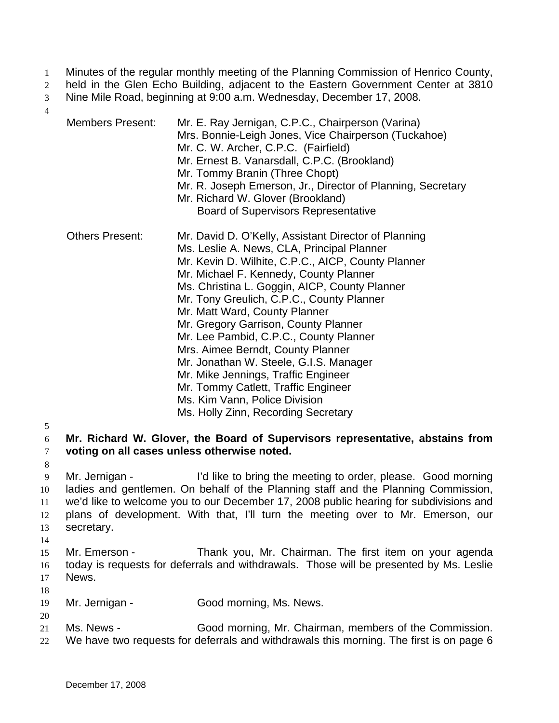- Minutes of the regular monthly meeting of the Planning Commission of Henrico County, 1
- held in the Glen Echo Building, adjacent to the Eastern Government Center at 3810 2
- Nine Mile Road, beginning at 9:00 a.m. Wednesday, December 17, 2008. 3
- 4

| <b>Members Present:</b> | Mr. E. Ray Jernigan, C.P.C., Chairperson (Varina)<br>Mrs. Bonnie-Leigh Jones, Vice Chairperson (Tuckahoe)<br>Mr. C. W. Archer, C.P.C. (Fairfield)<br>Mr. Ernest B. Vanarsdall, C.P.C. (Brookland)<br>Mr. Tommy Branin (Three Chopt)<br>Mr. R. Joseph Emerson, Jr., Director of Planning, Secretary<br>Mr. Richard W. Glover (Brookland)<br><b>Board of Supervisors Representative</b>                                                                                                                                                                                                                                                                    |
|-------------------------|----------------------------------------------------------------------------------------------------------------------------------------------------------------------------------------------------------------------------------------------------------------------------------------------------------------------------------------------------------------------------------------------------------------------------------------------------------------------------------------------------------------------------------------------------------------------------------------------------------------------------------------------------------|
| <b>Others Present:</b>  | Mr. David D. O'Kelly, Assistant Director of Planning<br>Ms. Leslie A. News, CLA, Principal Planner<br>Mr. Kevin D. Wilhite, C.P.C., AICP, County Planner<br>Mr. Michael F. Kennedy, County Planner<br>Ms. Christina L. Goggin, AICP, County Planner<br>Mr. Tony Greulich, C.P.C., County Planner<br>Mr. Matt Ward, County Planner<br>Mr. Gregory Garrison, County Planner<br>Mr. Lee Pambid, C.P.C., County Planner<br>Mrs. Aimee Berndt, County Planner<br>Mr. Jonathan W. Steele, G.I.S. Manager<br>Mr. Mike Jennings, Traffic Engineer<br>Mr. Tommy Catlett, Traffic Engineer<br>Ms. Kim Vann, Police Division<br>Ms. Holly Zinn, Recording Secretary |

5

8

#### 6 7 **Mr. Richard W. Glover, the Board of Supervisors representative, abstains from voting on all cases unless otherwise noted.**

9 10 11 12 13 Mr. Jernigan - I'd like to bring the meeting to order, please. Good morning ladies and gentlemen. On behalf of the Planning staff and the Planning Commission, we'd like to welcome you to our December 17, 2008 public hearing for subdivisions and plans of development. With that, I'll turn the meeting over to Mr. Emerson, our secretary.

- 15 16 17 Mr. Emerson - Thank you, Mr. Chairman. The first item on your agenda today is requests for deferrals and withdrawals. Those will be presented by Ms. Leslie News.
- 18

20

- 19 Mr. Jernigan - Good morning, Ms. News.
- 21 Ms. News - Good morning, Mr. Chairman, members of the Commission.
- 22 We have two requests for deferrals and withdrawals this morning. The first is on page 6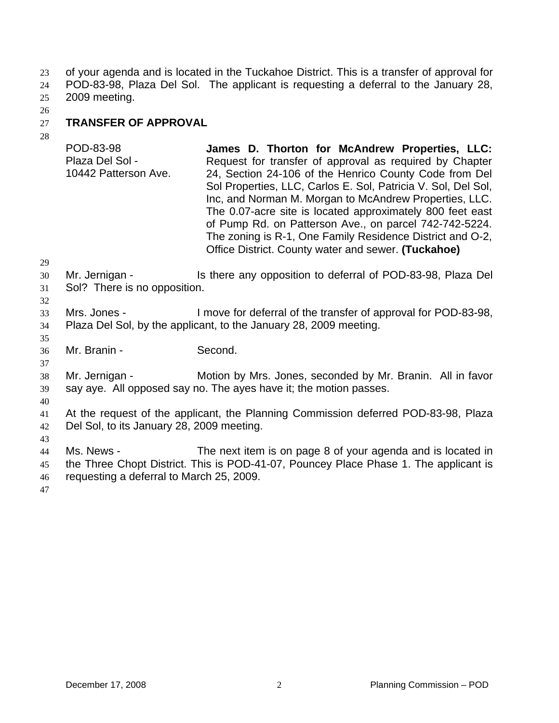of your agenda and is located in the Tuckahoe District. This is a transfer of approval for POD-83-98, Plaza Del Sol. The applicant is requesting a deferral to the January 28, 23 24

- 2009 meeting. 25
- 26

## 27 **TRANSFER OF APPROVAL**

| ∠⊖                   | POD-83-98<br>Plaza Del Sol -<br>10442 Patterson Ave.                                                                            | James D. Thorton for McAndrew Properties, LLC:<br>Request for transfer of approval as required by Chapter<br>24, Section 24-106 of the Henrico County Code from Del<br>Sol Properties, LLC, Carlos E. Sol, Patricia V. Sol, Del Sol,<br>Inc, and Norman M. Morgan to McAndrew Properties, LLC.<br>The 0.07-acre site is located approximately 800 feet east<br>of Pump Rd. on Patterson Ave., on parcel 742-742-5224.<br>The zoning is R-1, One Family Residence District and O-2,<br>Office District. County water and sewer. (Tuckahoe) |
|----------------------|---------------------------------------------------------------------------------------------------------------------------------|-------------------------------------------------------------------------------------------------------------------------------------------------------------------------------------------------------------------------------------------------------------------------------------------------------------------------------------------------------------------------------------------------------------------------------------------------------------------------------------------------------------------------------------------|
| 29<br>30<br>31<br>32 | Mr. Jernigan -<br>Sol? There is no opposition.                                                                                  | Is there any opposition to deferral of POD-83-98, Plaza Del                                                                                                                                                                                                                                                                                                                                                                                                                                                                               |
| 33<br>34<br>35       | Mrs. Jones -                                                                                                                    | I move for deferral of the transfer of approval for POD-83-98,<br>Plaza Del Sol, by the applicant, to the January 28, 2009 meeting.                                                                                                                                                                                                                                                                                                                                                                                                       |
| 36<br>37             | Mr. Branin -                                                                                                                    | Second.                                                                                                                                                                                                                                                                                                                                                                                                                                                                                                                                   |
| 38<br>39<br>40       | Mr. Jernigan -                                                                                                                  | Motion by Mrs. Jones, seconded by Mr. Branin. All in favor<br>say aye. All opposed say no. The ayes have it; the motion passes.                                                                                                                                                                                                                                                                                                                                                                                                           |
| 41<br>42<br>43       | At the request of the applicant, the Planning Commission deferred POD-83-98, Plaza<br>Del Sol, to its January 28, 2009 meeting. |                                                                                                                                                                                                                                                                                                                                                                                                                                                                                                                                           |
| 44<br>45<br>46<br>47 | Ms. News -<br>requesting a deferral to March 25, 2009.                                                                          | The next item is on page 8 of your agenda and is located in<br>the Three Chopt District. This is POD-41-07, Pouncey Place Phase 1. The applicant is                                                                                                                                                                                                                                                                                                                                                                                       |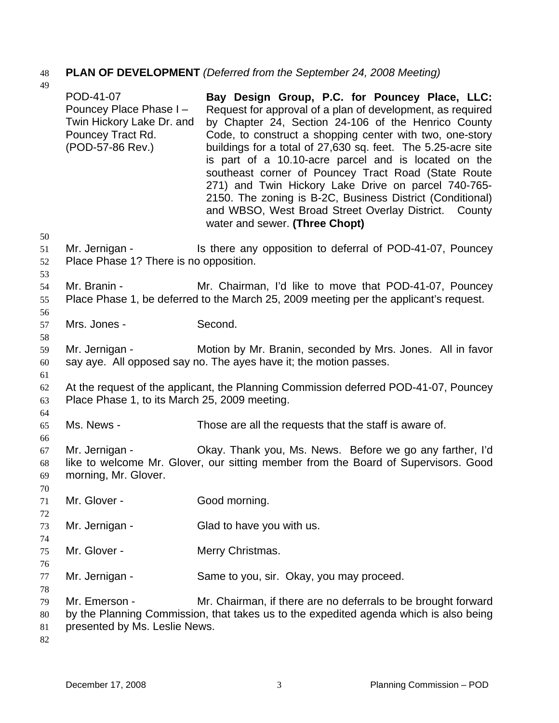# 48 **PLAN OF DEVELOPMENT** *(Deferred from the September 24, 2008 Meeting)*

| 49                         |                                                                                                            |                                                                                                                                                                                                                                                                                                                                                                                                                                                                                                                                                                                                                              |
|----------------------------|------------------------------------------------------------------------------------------------------------|------------------------------------------------------------------------------------------------------------------------------------------------------------------------------------------------------------------------------------------------------------------------------------------------------------------------------------------------------------------------------------------------------------------------------------------------------------------------------------------------------------------------------------------------------------------------------------------------------------------------------|
| 50                         | POD-41-07<br>Pouncey Place Phase I -<br>Twin Hickory Lake Dr. and<br>Pouncey Tract Rd.<br>(POD-57-86 Rev.) | Bay Design Group, P.C. for Pouncey Place, LLC:<br>Request for approval of a plan of development, as required<br>by Chapter 24, Section 24-106 of the Henrico County<br>Code, to construct a shopping center with two, one-story<br>buildings for a total of 27,630 sq. feet. The 5.25-acre site<br>is part of a 10.10-acre parcel and is located on the<br>southeast corner of Pouncey Tract Road (State Route<br>271) and Twin Hickory Lake Drive on parcel 740-765-<br>2150. The zoning is B-2C, Business District (Conditional)<br>and WBSO, West Broad Street Overlay District. County<br>water and sewer. (Three Chopt) |
| 51<br>52<br>53             | Mr. Jernigan -<br>Place Phase 1? There is no opposition.                                                   | Is there any opposition to deferral of POD-41-07, Pouncey                                                                                                                                                                                                                                                                                                                                                                                                                                                                                                                                                                    |
| 54<br>55<br>56             | Mr. Branin -                                                                                               | Mr. Chairman, I'd like to move that POD-41-07, Pouncey<br>Place Phase 1, be deferred to the March 25, 2009 meeting per the applicant's request.                                                                                                                                                                                                                                                                                                                                                                                                                                                                              |
| 57<br>58                   | Mrs. Jones -                                                                                               | Second.                                                                                                                                                                                                                                                                                                                                                                                                                                                                                                                                                                                                                      |
| 59<br>60                   | Mr. Jernigan -                                                                                             | Motion by Mr. Branin, seconded by Mrs. Jones. All in favor<br>say aye. All opposed say no. The ayes have it; the motion passes.                                                                                                                                                                                                                                                                                                                                                                                                                                                                                              |
| 61<br>62<br>63             | Place Phase 1, to its March 25, 2009 meeting.                                                              | At the request of the applicant, the Planning Commission deferred POD-41-07, Pouncey                                                                                                                                                                                                                                                                                                                                                                                                                                                                                                                                         |
| 64<br>65<br>66             | Ms. News -                                                                                                 | Those are all the requests that the staff is aware of.                                                                                                                                                                                                                                                                                                                                                                                                                                                                                                                                                                       |
| 67<br>68<br>69<br>70       | Mr. Jernigan -<br>morning, Mr. Glover.                                                                     | Okay. Thank you, Ms. News. Before we go any farther, I'd<br>like to welcome Mr. Glover, our sitting member from the Board of Supervisors. Good                                                                                                                                                                                                                                                                                                                                                                                                                                                                               |
| 71<br>72                   | Mr. Glover -                                                                                               | Good morning.                                                                                                                                                                                                                                                                                                                                                                                                                                                                                                                                                                                                                |
| 73<br>74                   | Mr. Jernigan -                                                                                             | Glad to have you with us.                                                                                                                                                                                                                                                                                                                                                                                                                                                                                                                                                                                                    |
| 75                         | Mr. Glover -                                                                                               | Merry Christmas.                                                                                                                                                                                                                                                                                                                                                                                                                                                                                                                                                                                                             |
| 76<br>77                   | Mr. Jernigan -                                                                                             | Same to you, sir. Okay, you may proceed.                                                                                                                                                                                                                                                                                                                                                                                                                                                                                                                                                                                     |
| 78<br>79<br>80<br>81<br>82 | Mr. Emerson -<br>presented by Ms. Leslie News.                                                             | Mr. Chairman, if there are no deferrals to be brought forward<br>by the Planning Commission, that takes us to the expedited agenda which is also being                                                                                                                                                                                                                                                                                                                                                                                                                                                                       |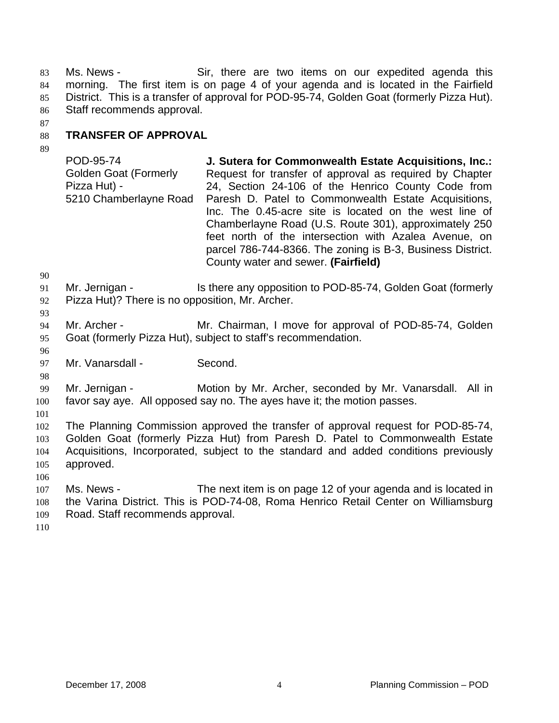Ms. News - Sir, there are two items on our expedited agenda this morning. The first item is on page 4 of your agenda and is located in the Fairfield District. This is a transfer of approval for POD-95-74, Golden Goat (formerly Pizza Hut). Staff recommends approval. 83 84 85 86

87

#### 88 **TRANSFER OF APPROVAL**

89

POD-95-74 Golden Goat (Formerly Pizza Hut) - 5210 Chamberlayne Road **J. Sutera for Commonwealth Estate Acquisitions, Inc.:** Request for transfer of approval as required by Chapter 24, Section 24-106 of the Henrico County Code from Paresh D. Patel to Commonwealth Estate Acquisitions, Inc. The 0.45-acre site is located on the west line of Chamberlayne Road (U.S. Route 301), approximately 250 feet north of the intersection with Azalea Avenue, on parcel 786-744-8366. The zoning is B-3, Business District. County water and sewer. **(Fairfield)**

90

93

96

98

- 91 Mr. Jernigan - The Is there any opposition to POD-85-74, Golden Goat (formerly
- 92 Pizza Hut)? There is no opposition, Mr. Archer.
- 94 95 Mr. Archer - **Mr. Chairman, I move for approval of POD-85-74, Golden** Goat (formerly Pizza Hut), subject to staff's recommendation.
- 97 Mr. Vanarsdall - Second.

99 100 Mr. Jernigan - **Motion by Mr. Archer, seconded by Mr. Vanarsdall.** All in favor say aye. All opposed say no. The ayes have it; the motion passes.

101

102 103 104 105 The Planning Commission approved the transfer of approval request for POD-85-74, Golden Goat (formerly Pizza Hut) from Paresh D. Patel to Commonwealth Estate Acquisitions, Incorporated, subject to the standard and added conditions previously approved.

106

107 108 109 Ms. News - The next item is on page 12 of your agenda and is located in the Varina District. This is POD-74-08, Roma Henrico Retail Center on Williamsburg Road. Staff recommends approval.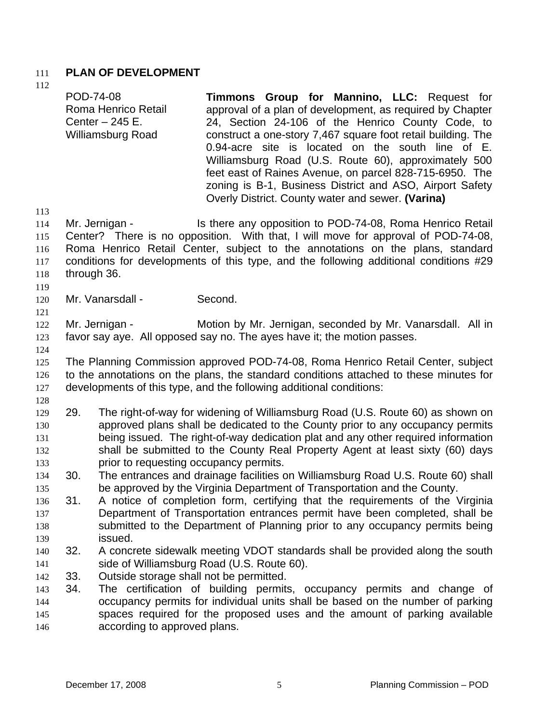## 111 **PLAN OF DEVELOPMENT**

112 113 114 115 116 117 118 119 120 121 122 123 124 125 126 127 128 129 130 131 132 133 134 135 136 137 138 139 140 141 142 143 144 145 146 POD-74-08 Roma Henrico Retail Center – 245 E. Williamsburg Road **Timmons Group for Mannino, LLC:** Request for approval of a plan of development, as required by Chapter 24, Section 24-106 of the Henrico County Code, to construct a one-story 7,467 square foot retail building. The 0.94-acre site is located on the south line of E. Williamsburg Road (U.S. Route 60), approximately 500 feet east of Raines Avenue, on parcel 828-715-6950. The zoning is B-1, Business District and ASO, Airport Safety Overly District. County water and sewer. **(Varina)**  Mr. Jernigan - Is there any opposition to POD-74-08, Roma Henrico Retail Center? There is no opposition. With that, I will move for approval of POD-74-08, Roma Henrico Retail Center, subject to the annotations on the plans, standard conditions for developments of this type, and the following additional conditions #29 through 36. Mr. Vanarsdall - Second. Mr. Jernigan - Motion by Mr. Jernigan, seconded by Mr. Vanarsdall. All in favor say aye. All opposed say no. The ayes have it; the motion passes. The Planning Commission approved POD-74-08, Roma Henrico Retail Center, subject to the annotations on the plans, the standard conditions attached to these minutes for developments of this type, and the following additional conditions: 29. The right-of-way for widening of Williamsburg Road (U.S. Route 60) as shown on approved plans shall be dedicated to the County prior to any occupancy permits being issued. The right-of-way dedication plat and any other required information shall be submitted to the County Real Property Agent at least sixty (60) days prior to requesting occupancy permits. 30. The entrances and drainage facilities on Williamsburg Road U.S. Route 60) shall be approved by the Virginia Department of Transportation and the County. 31. A notice of completion form, certifying that the requirements of the Virginia Department of Transportation entrances permit have been completed, shall be submitted to the Department of Planning prior to any occupancy permits being issued. 32. A concrete sidewalk meeting VDOT standards shall be provided along the south side of Williamsburg Road (U.S. Route 60). 33. Outside storage shall not be permitted. 34. The certification of building permits, occupancy permits and change of occupancy permits for individual units shall be based on the number of parking spaces required for the proposed uses and the amount of parking available according to approved plans.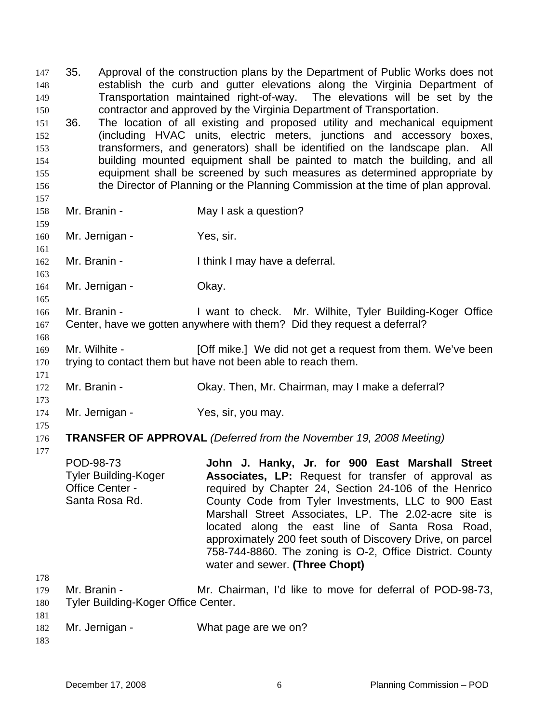35. Approval of the construction plans by the Department of Public Works does not establish the curb and gutter elevations along the Virginia Department of Transportation maintained right-of-way. The elevations will be set by the contractor and approved by the Virginia Department of Transportation. 147 148 149 150 151 152 153 154 155 156 157 158 159 160 161 162 163 164 165 166 167 168 169 170 171 172 173 174 175 176 177 178 179 180 181 182 36. The location of all existing and proposed utility and mechanical equipment (including HVAC units, electric meters, junctions and accessory boxes, transformers, and generators) shall be identified on the landscape plan. All building mounted equipment shall be painted to match the building, and all equipment shall be screened by such measures as determined appropriate by the Director of Planning or the Planning Commission at the time of plan approval. Mr. Branin - May I ask a question? Mr. Jernigan - Yes, sir. Mr. Branin - Think I may have a deferral. Mr. Jernigan - Ckay. Mr. Branin - I want to check. Mr. Wilhite, Tyler Building-Koger Office Center, have we gotten anywhere with them? Did they request a deferral? Mr. Wilhite - **[Off mike.]** We did not get a request from them. We've been trying to contact them but have not been able to reach them. Mr. Branin - Okay. Then, Mr. Chairman, may I make a deferral? Mr. Jernigan - Yes, sir, you may. **TRANSFER OF APPROVAL** *(Deferred from the November 19, 2008 Meeting)*  POD-98-73 Tyler Building-Koger Office Center - Santa Rosa Rd. **John J. Hanky, Jr. for 900 East Marshall Street Associates, LP:** Request for transfer of approval as required by Chapter 24, Section 24-106 of the Henrico County Code from Tyler Investments, LLC to 900 East Marshall Street Associates, LP. The 2.02-acre site is located along the east line of Santa Rosa Road, approximately 200 feet south of Discovery Drive, on parcel 758-744-8860. The zoning is O-2, Office District. County water and sewer. **(Three Chopt)**  Mr. Branin - Mr. Chairman, I'd like to move for deferral of POD-98-73, Tyler Building-Koger Office Center. Mr. Jernigan - What page are we on?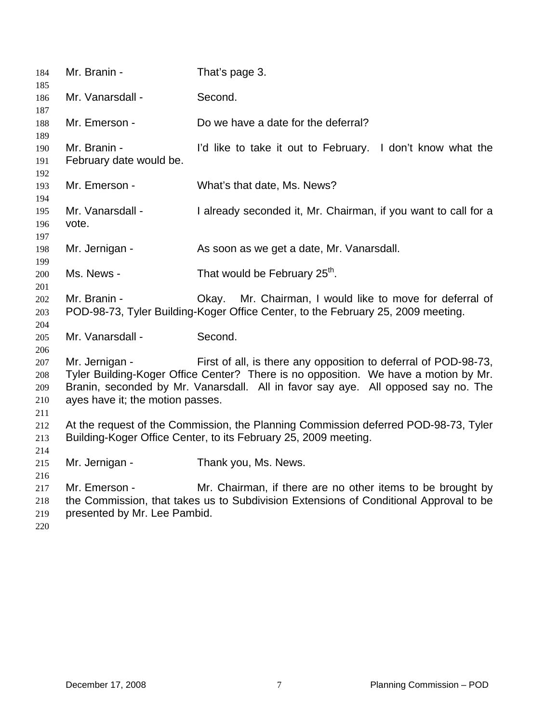| 184<br>185                      | Mr. Branin -                                                                                                                                                                                                                                                                                      | That's page 3.                                                                                                                                      |  |
|---------------------------------|---------------------------------------------------------------------------------------------------------------------------------------------------------------------------------------------------------------------------------------------------------------------------------------------------|-----------------------------------------------------------------------------------------------------------------------------------------------------|--|
| 186<br>187                      | Mr. Vanarsdall -                                                                                                                                                                                                                                                                                  | Second.                                                                                                                                             |  |
| 188<br>189                      | Mr. Emerson -                                                                                                                                                                                                                                                                                     | Do we have a date for the deferral?                                                                                                                 |  |
| 190<br>191<br>192               | Mr. Branin -<br>February date would be.                                                                                                                                                                                                                                                           | I'd like to take it out to February. I don't know what the                                                                                          |  |
| 193<br>194                      | Mr. Emerson -                                                                                                                                                                                                                                                                                     | What's that date, Ms. News?                                                                                                                         |  |
| 195<br>196<br>197               | Mr. Vanarsdall -<br>vote.                                                                                                                                                                                                                                                                         | I already seconded it, Mr. Chairman, if you want to call for a                                                                                      |  |
| 198<br>199                      | Mr. Jernigan -                                                                                                                                                                                                                                                                                    | As soon as we get a date, Mr. Vanarsdall.                                                                                                           |  |
| 200<br>201                      | Ms. News -                                                                                                                                                                                                                                                                                        | That would be February 25 <sup>th</sup> .                                                                                                           |  |
| 202<br>203<br>204               | Mr. Branin -                                                                                                                                                                                                                                                                                      | Mr. Chairman, I would like to move for deferral of<br>Okay.<br>POD-98-73, Tyler Building-Koger Office Center, to the February 25, 2009 meeting.     |  |
| 205<br>206                      | Mr. Vanarsdall -                                                                                                                                                                                                                                                                                  | Second.                                                                                                                                             |  |
| 207<br>208<br>209<br>210<br>211 | Mr. Jernigan -<br>First of all, is there any opposition to deferral of POD-98-73,<br>Tyler Building-Koger Office Center? There is no opposition. We have a motion by Mr.<br>Branin, seconded by Mr. Vanarsdall. All in favor say aye. All opposed say no. The<br>ayes have it; the motion passes. |                                                                                                                                                     |  |
| 212<br>213<br>214               | At the request of the Commission, the Planning Commission deferred POD-98-73, Tyler<br>Building-Koger Office Center, to its February 25, 2009 meeting.                                                                                                                                            |                                                                                                                                                     |  |
| 215<br>216                      | Mr. Jernigan -                                                                                                                                                                                                                                                                                    | Thank you, Ms. News.                                                                                                                                |  |
| 217<br>218<br>219<br>220        | Mr. Emerson -<br>presented by Mr. Lee Pambid.                                                                                                                                                                                                                                                     | Mr. Chairman, if there are no other items to be brought by<br>the Commission, that takes us to Subdivision Extensions of Conditional Approval to be |  |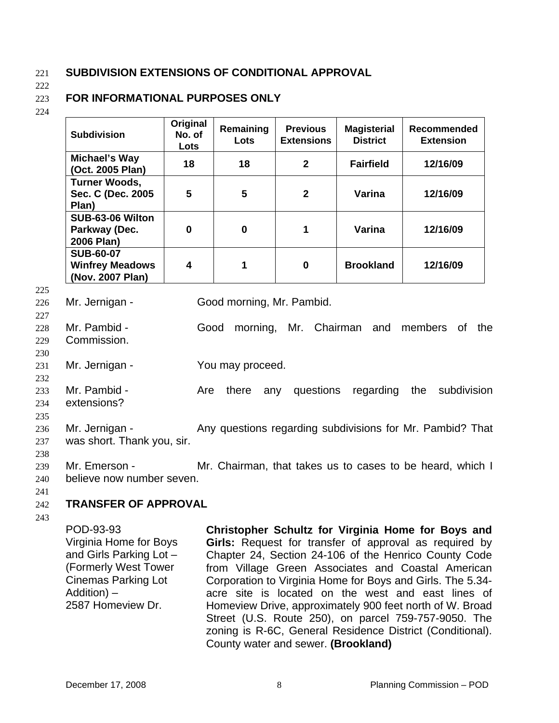## 221 **SUBDIVISION EXTENSIONS OF CONDITIONAL APPROVAL**

222

## **FOR INFORMATIONAL PURPOSES ONLY**

223 224

- **Subdivision Original No. of Lots Remaining Lots Previous Extensions Magisterial District Recommended Extension Michael's Way (Oct. 2005 Plan) 18 18 2 Fairfield 12/16/09 Turner Woods, Sec. C (Dec. 2005 Plan) 5 5 2 Varina 12/16/09 SUB-63-06 Wilton Parkway (Dec. 2006 Plan) 0 0 1 Varina 12/16/09 SUB-60-07 Winfrey Meadows (Nov. 2007 Plan) 4 1 0 Brookland 12/16/09**
- 225

230

- 226 Mr. Jernigan - Good morning, Mr. Pambid.
- 227 228 229 Mr. Pambid - Good morning, Mr. Chairman and members of the Commission.
- 231 Mr. Jernigan - You may proceed.
- 232 233 234 Mr. Pambid - The Are there any questions regarding the subdivision extensions?

Mr. Jernigan - Any questions regarding subdivisions for Mr. Pambid? That

- 235
- 236
- 237 was short. Thank you, sir.
- 238
- 239 240 Mr. Emerson - Mr. Chairman, that takes us to cases to be heard, which I believe now number seven.
- 241

## 242 **TRANSFER OF APPROVAL**

243

POD-93-93 Virginia Home for Boys and Girls Parking Lot – (Formerly West Tower Cinemas Parking Lot Addition) – 2587 Homeview Dr.

**Christopher Schultz for Virginia Home for Boys and Girls:** Request for transfer of approval as required by Chapter 24, Section 24-106 of the Henrico County Code from Village Green Associates and Coastal American Corporation to Virginia Home for Boys and Girls. The 5.34 acre site is located on the west and east lines of Homeview Drive, approximately 900 feet north of W. Broad Street (U.S. Route 250), on parcel 759-757-9050. The zoning is R-6C, General Residence District (Conditional). County water and sewer. **(Brookland)**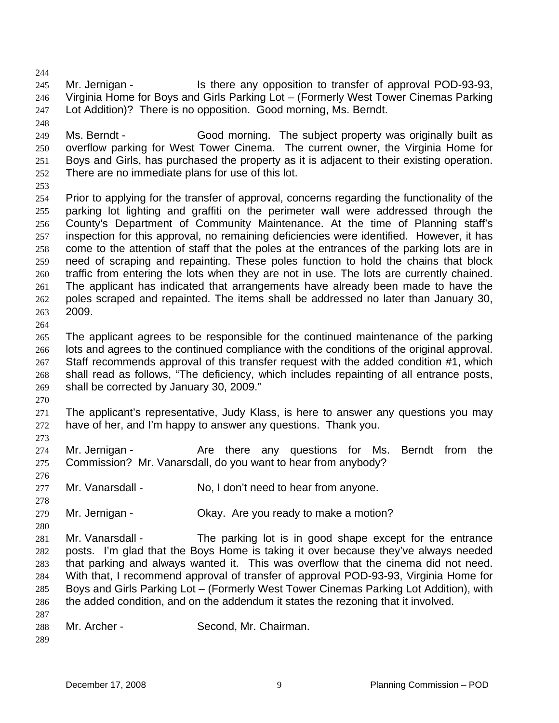244

245 246 247 Mr. Jernigan - Is there any opposition to transfer of approval POD-93-93, Virginia Home for Boys and Girls Parking Lot – (Formerly West Tower Cinemas Parking Lot Addition)? There is no opposition. Good morning, Ms. Berndt.

248

249 250 251 252 Ms. Berndt - Good morning. The subject property was originally built as overflow parking for West Tower Cinema. The current owner, the Virginia Home for Boys and Girls, has purchased the property as it is adjacent to their existing operation. There are no immediate plans for use of this lot.

253

254 255 256 257 258 259 260 261 262 263 Prior to applying for the transfer of approval, concerns regarding the functionality of the parking lot lighting and graffiti on the perimeter wall were addressed through the County's Department of Community Maintenance. At the time of Planning staff's inspection for this approval, no remaining deficiencies were identified. However, it has come to the attention of staff that the poles at the entrances of the parking lots are in need of scraping and repainting. These poles function to hold the chains that block traffic from entering the lots when they are not in use. The lots are currently chained. The applicant has indicated that arrangements have already been made to have the poles scraped and repainted. The items shall be addressed no later than January 30, 2009.

264

265 266 267 268 269 The applicant agrees to be responsible for the continued maintenance of the parking lots and agrees to the continued compliance with the conditions of the original approval. Staff recommends approval of this transfer request with the added condition #1, which shall read as follows, "The deficiency, which includes repainting of all entrance posts, shall be corrected by January 30, 2009."

270

273

278

271 272 The applicant's representative, Judy Klass, is here to answer any questions you may have of her, and I'm happy to answer any questions. Thank you.

274 275 Mr. Jernigan - The Are there any questions for Ms. Berndt from the Commission? Mr. Vanarsdall, do you want to hear from anybody?

276 277 Mr. Vanarsdall - No, I don't need to hear from anyone.

279 Mr. Jernigan - Ckay. Are you ready to make a motion?

280 281 282 283 284 285 286 Mr. Vanarsdall - The parking lot is in good shape except for the entrance posts. I'm glad that the Boys Home is taking it over because they've always needed that parking and always wanted it. This was overflow that the cinema did not need. With that, I recommend approval of transfer of approval POD-93-93, Virginia Home for Boys and Girls Parking Lot – (Formerly West Tower Cinemas Parking Lot Addition), with the added condition, and on the addendum it states the rezoning that it involved.

288 Mr. Archer - Second, Mr. Chairman.

289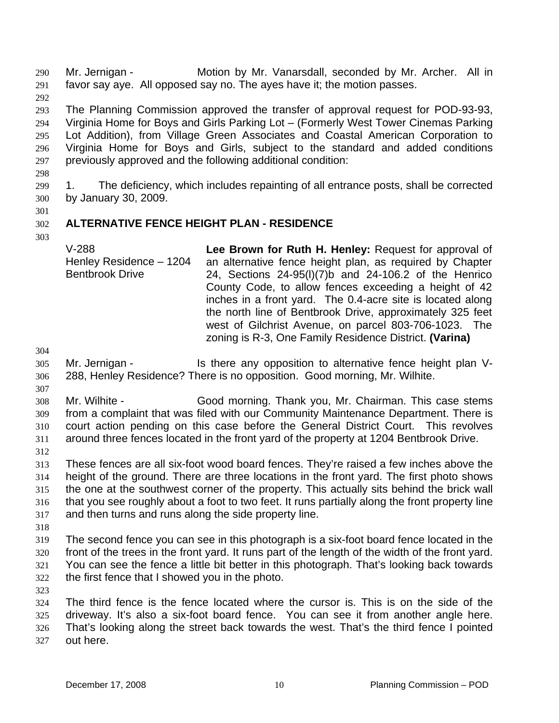Mr. Jernigan - **Motion by Mr. Vanarsdall, seconded by Mr. Archer.** All in favor say aye. All opposed say no. The ayes have it; the motion passes. 290 291

292

293 294 295 296 297 The Planning Commission approved the transfer of approval request for POD-93-93, Virginia Home for Boys and Girls Parking Lot – (Formerly West Tower Cinemas Parking Lot Addition), from Village Green Associates and Coastal American Corporation to Virginia Home for Boys and Girls, subject to the standard and added conditions previously approved and the following additional condition:

298

299 300 1. The deficiency, which includes repainting of all entrance posts, shall be corrected by January 30, 2009.

301 302

# **ALTERNATIVE FENCE HEIGHT PLAN - RESIDENCE**

303

V-288 Henley Residence – 1204 Bentbrook Drive **Lee Brown for Ruth H. Henley:** Request for approval of an alternative fence height plan, as required by Chapter 24, Sections 24-95(l)(7)b and 24-106.2 of the Henrico County Code, to allow fences exceeding a height of 42 inches in a front yard. The 0.4-acre site is located along the north line of Bentbrook Drive, approximately 325 feet west of Gilchrist Avenue, on parcel 803-706-1023. The zoning is R-3, One Family Residence District. **(Varina)** 

304

307

305 306 Mr. Jernigan - This there any opposition to alternative fence height plan V-288, Henley Residence? There is no opposition. Good morning, Mr. Wilhite.

308 309 310 311 Mr. Wilhite - Good morning. Thank you, Mr. Chairman. This case stems from a complaint that was filed with our Community Maintenance Department. There is court action pending on this case before the General District Court. This revolves around three fences located in the front yard of the property at 1204 Bentbrook Drive.

312

313 314 315 316 317 These fences are all six-foot wood board fences. They're raised a few inches above the height of the ground. There are three locations in the front yard. The first photo shows the one at the southwest corner of the property. This actually sits behind the brick wall that you see roughly about a foot to two feet. It runs partially along the front property line and then turns and runs along the side property line.

318

319 320 321 322 The second fence you can see in this photograph is a six-foot board fence located in the front of the trees in the front yard. It runs part of the length of the width of the front yard. You can see the fence a little bit better in this photograph. That's looking back towards the first fence that I showed you in the photo.

323

324 325 326 327 The third fence is the fence located where the cursor is. This is on the side of the driveway. It's also a six-foot board fence. You can see it from another angle here. That's looking along the street back towards the west. That's the third fence I pointed out here.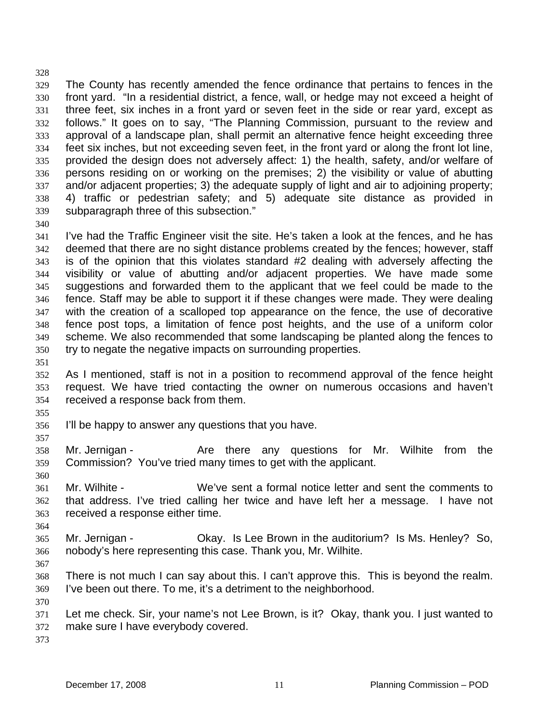329 330 331 332 333 334 335 336 337 338 339 340 The County has recently amended the fence ordinance that pertains to fences in the front yard. "In a residential district, a fence, wall, or hedge may not exceed a height of three feet, six inches in a front yard or seven feet in the side or rear yard, except as follows." It goes on to say, "The Planning Commission, pursuant to the review and approval of a landscape plan, shall permit an alternative fence height exceeding three feet six inches, but not exceeding seven feet, in the front yard or along the front lot line, provided the design does not adversely affect: 1) the health, safety, and/or welfare of persons residing on or working on the premises; 2) the visibility or value of abutting and/or adjacent properties; 3) the adequate supply of light and air to adjoining property; 4) traffic or pedestrian safety; and 5) adequate site distance as provided in subparagraph three of this subsection."

341 342 343 344 345 346 347 348 349 350 351 I've had the Traffic Engineer visit the site. He's taken a look at the fences, and he has deemed that there are no sight distance problems created by the fences; however, staff is of the opinion that this violates standard #2 dealing with adversely affecting the visibility or value of abutting and/or adjacent properties. We have made some suggestions and forwarded them to the applicant that we feel could be made to the fence. Staff may be able to support it if these changes were made. They were dealing with the creation of a scalloped top appearance on the fence, the use of decorative fence post tops, a limitation of fence post heights, and the use of a uniform color scheme. We also recommended that some landscaping be planted along the fences to try to negate the negative impacts on surrounding properties.

- 352 353 354 As I mentioned, staff is not in a position to recommend approval of the fence height request. We have tried contacting the owner on numerous occasions and haven't received a response back from them.
- 355

357

328

- 356 I'll be happy to answer any questions that you have.
- 358 359 Mr. Jernigan - Are there any questions for Mr. Wilhite from the Commission? You've tried many times to get with the applicant.
- 360
- 361 362 363 Mr. Wilhite - We've sent a formal notice letter and sent the comments to that address. I've tried calling her twice and have left her a message. I have not received a response either time.
- 365 366 Mr. Jernigan - Ckay. Is Lee Brown in the auditorium? Is Ms. Henley? So, nobody's here representing this case. Thank you, Mr. Wilhite.
- 367

370

364

- 368 369 There is not much I can say about this. I can't approve this. This is beyond the realm. I've been out there. To me, it's a detriment to the neighborhood.
- 371 372 Let me check. Sir, your name's not Lee Brown, is it? Okay, thank you. I just wanted to make sure I have everybody covered.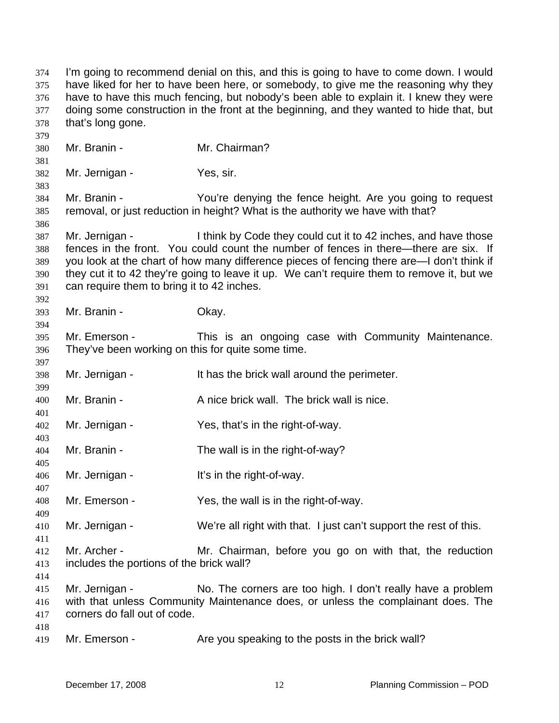I'm going to recommend denial on this, and this is going to have to come down. I would have liked for her to have been here, or somebody, to give me the reasoning why they have to have this much fencing, but nobody's been able to explain it. I knew they were doing some construction in the front at the beginning, and they wanted to hide that, but that's long gone. 374 375 376 377 378 379 380 381 382 383 384 385 386 387 388 389 390 391 392 393 394 395 396 397 398 399 400 401 402 403 404 405 406 407 408 409 410 411 412 413 414 415 416 417 418 419 Mr. Branin - Mr. Chairman? Mr. Jernigan - Yes, sir. Mr. Branin - You're denying the fence height. Are you going to request removal, or just reduction in height? What is the authority we have with that? Mr. Jernigan - I think by Code they could cut it to 42 inches, and have those fences in the front. You could count the number of fences in there—there are six. If you look at the chart of how many difference pieces of fencing there are—I don't think if they cut it to 42 they're going to leave it up. We can't require them to remove it, but we can require them to bring it to 42 inches. Mr. Branin - Ckay. Mr. Emerson - This is an ongoing case with Community Maintenance. They've been working on this for quite some time. Mr. Jernigan - It has the brick wall around the perimeter. Mr. Branin - A nice brick wall. The brick wall is nice. Mr. Jernigan - Yes, that's in the right-of-way. Mr. Branin - The wall is in the right-of-way? Mr. Jernigan - The Right-of-way. Mr. Emerson - Yes, the wall is in the right-of-way. Mr. Jernigan - We're all right with that. I just can't support the rest of this. Mr. Archer - **Mr.** Chairman, before you go on with that, the reduction includes the portions of the brick wall? Mr. Jernigan - No. The corners are too high. I don't really have a problem with that unless Community Maintenance does, or unless the complainant does. The corners do fall out of code. Mr. Emerson - The you speaking to the posts in the brick wall?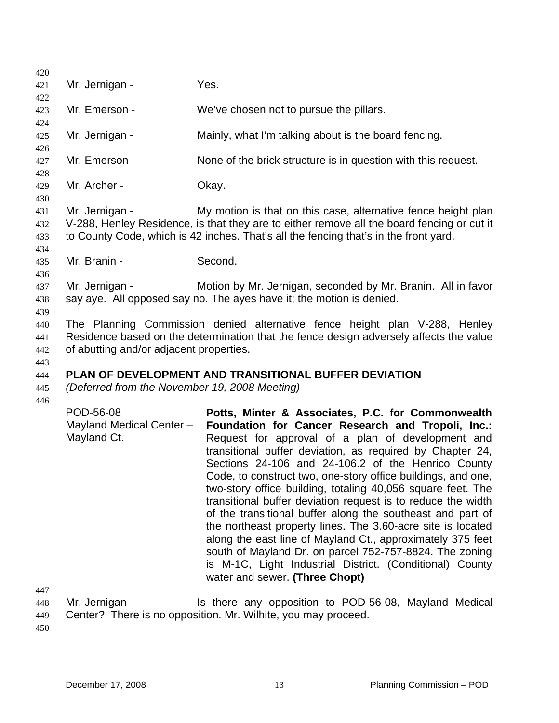| 420                      |                                                                                                               |                                                                                                                                                                                                                                                                                                                                                                                                                                                                                                                                                                                                                                                                                                                                                                                                                                   |  |
|--------------------------|---------------------------------------------------------------------------------------------------------------|-----------------------------------------------------------------------------------------------------------------------------------------------------------------------------------------------------------------------------------------------------------------------------------------------------------------------------------------------------------------------------------------------------------------------------------------------------------------------------------------------------------------------------------------------------------------------------------------------------------------------------------------------------------------------------------------------------------------------------------------------------------------------------------------------------------------------------------|--|
| 421<br>422               | Mr. Jernigan -                                                                                                | Yes.                                                                                                                                                                                                                                                                                                                                                                                                                                                                                                                                                                                                                                                                                                                                                                                                                              |  |
| 423<br>424               | Mr. Emerson -                                                                                                 | We've chosen not to pursue the pillars.                                                                                                                                                                                                                                                                                                                                                                                                                                                                                                                                                                                                                                                                                                                                                                                           |  |
| 425                      | Mr. Jernigan -                                                                                                | Mainly, what I'm talking about is the board fencing.                                                                                                                                                                                                                                                                                                                                                                                                                                                                                                                                                                                                                                                                                                                                                                              |  |
| 426<br>427<br>428        | Mr. Emerson -                                                                                                 | None of the brick structure is in question with this request.                                                                                                                                                                                                                                                                                                                                                                                                                                                                                                                                                                                                                                                                                                                                                                     |  |
| 429<br>430               | Mr. Archer -                                                                                                  | Okay.                                                                                                                                                                                                                                                                                                                                                                                                                                                                                                                                                                                                                                                                                                                                                                                                                             |  |
| 431<br>432<br>433        | Mr. Jernigan -                                                                                                | My motion is that on this case, alternative fence height plan<br>V-288, Henley Residence, is that they are to either remove all the board fencing or cut it<br>to County Code, which is 42 inches. That's all the fencing that's in the front yard.                                                                                                                                                                                                                                                                                                                                                                                                                                                                                                                                                                               |  |
| 434<br>435               | Mr. Branin -                                                                                                  | Second.                                                                                                                                                                                                                                                                                                                                                                                                                                                                                                                                                                                                                                                                                                                                                                                                                           |  |
| 436<br>437<br>438<br>439 | Mr. Jernigan -                                                                                                | Motion by Mr. Jernigan, seconded by Mr. Branin. All in favor<br>say aye. All opposed say no. The ayes have it; the motion is denied.                                                                                                                                                                                                                                                                                                                                                                                                                                                                                                                                                                                                                                                                                              |  |
| 440<br>441<br>442        | of abutting and/or adjacent properties.                                                                       | The Planning Commission denied alternative fence height plan V-288, Henley<br>Residence based on the determination that the fence design adversely affects the value                                                                                                                                                                                                                                                                                                                                                                                                                                                                                                                                                                                                                                                              |  |
| 443<br>444<br>445        | <b>PLAN OF DEVELOPMENT AND TRANSITIONAL BUFFER DEVIATION</b><br>(Deferred from the November 19, 2008 Meeting) |                                                                                                                                                                                                                                                                                                                                                                                                                                                                                                                                                                                                                                                                                                                                                                                                                                   |  |
| 446<br>447               | POD-56-08<br>Mayland Medical Center -<br>Mayland Ct.                                                          | Potts, Minter & Associates, P.C. for Commonwealth<br>Foundation for Cancer Research and Tropoli, Inc.:<br>Request for approval of a plan of development and<br>transitional buffer deviation, as required by Chapter 24,<br>Sections 24-106 and 24-106.2 of the Henrico County<br>Code, to construct two, one-story office buildings, and one,<br>two-story office building, totaling 40,056 square feet. The<br>transitional buffer deviation request is to reduce the width<br>of the transitional buffer along the southeast and part of<br>the northeast property lines. The 3.60-acre site is located<br>along the east line of Mayland Ct., approximately 375 feet<br>south of Mayland Dr. on parcel 752-757-8824. The zoning<br>is M-1C, Light Industrial District. (Conditional) County<br>water and sewer. (Three Chopt) |  |
| 448                      | Mr. Jernigan -<br>na ia na annaail                                                                            | Is there any opposition to POD-56-08, Mayland Medical<br>$M_{\nu}$ , $M_{\nu}$ ; $M_{\nu}$ $M_{\nu}$ $M_{\nu}$ , $M_{\nu}$                                                                                                                                                                                                                                                                                                                                                                                                                                                                                                                                                                                                                                                                                                        |  |

449 Center? There is no opposition. Mr. Wilhite, you may proceed.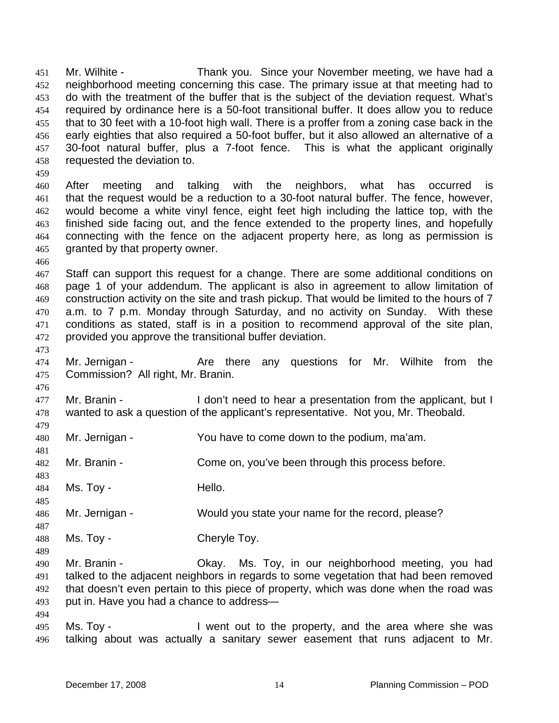Mr. Wilhite - Thank you. Since your November meeting, we have had a neighborhood meeting concerning this case. The primary issue at that meeting had to do with the treatment of the buffer that is the subject of the deviation request. What's required by ordinance here is a 50-foot transitional buffer. It does allow you to reduce that to 30 feet with a 10-foot high wall. There is a proffer from a zoning case back in the early eighties that also required a 50-foot buffer, but it also allowed an alternative of a 30-foot natural buffer, plus a 7-foot fence. This is what the applicant originally requested the deviation to. 451 452 453 454 455 456 457 458 459 After meeting and talking with the neighbors, what has occurred is that the request would be a reduction to a 30-foot natural buffer. The fence, however, would become a white vinyl fence, eight feet high including the lattice top, with the finished side facing out, and the fence extended to the property lines, and hopefully connecting with the fence on the adjacent property here, as long as permission is granted by that property owner. 460 461 462 463 464 465 466 467 468 469 470 471 472 473 474 475 476 477 478 479 480 481 482 483 484 485 486 487 488 489 490 491 492 493 494 495 496 Staff can support this request for a change. There are some additional conditions on page 1 of your addendum. The applicant is also in agreement to allow limitation of construction activity on the site and trash pickup. That would be limited to the hours of 7 a.m. to 7 p.m. Monday through Saturday, and no activity on Sunday. With these conditions as stated, staff is in a position to recommend approval of the site plan, provided you approve the transitional buffer deviation. Mr. Jernigan - The Are there any questions for Mr. Wilhite from the Commission? All right, Mr. Branin. Mr. Branin - I don't need to hear a presentation from the applicant, but I wanted to ask a question of the applicant's representative. Not you, Mr. Theobald. Mr. Jernigan - You have to come down to the podium, ma'am. Mr. Branin - Come on, you've been through this process before. Ms. Tov - The Hello. Mr. Jernigan - Would you state your name for the record, please? Ms. Toy - Cheryle Toy. Mr. Branin - Okay. Ms. Toy, in our neighborhood meeting, you had talked to the adjacent neighbors in regards to some vegetation that had been removed that doesn't even pertain to this piece of property, which was done when the road was put in. Have you had a chance to address— Ms. Toy - I went out to the property, and the area where she was talking about was actually a sanitary sewer easement that runs adjacent to Mr.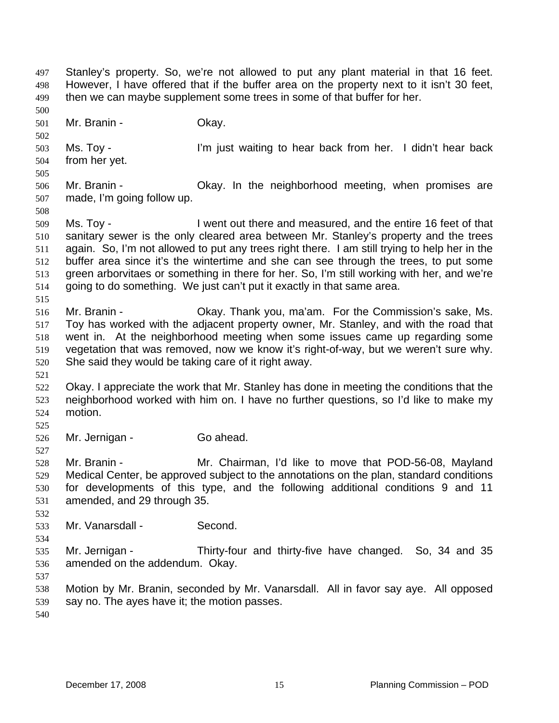Stanley's property. So, we're not allowed to put any plant material in that 16 feet. However, I have offered that if the buffer area on the property next to it isn't 30 feet, then we can maybe supplement some trees in some of that buffer for her. 497 498 499 500

501 Mr. Branin - Ckay.

503 504 Ms. Toy - I'm just waiting to hear back from her. I didn't hear back from her yet.

505 506 507 Mr. Branin - Ckay. In the neighborhood meeting, when promises are made, I'm going follow up.

509 510 511 512 513 514 Ms. Toy - **I** went out there and measured, and the entire 16 feet of that sanitary sewer is the only cleared area between Mr. Stanley's property and the trees again. So, I'm not allowed to put any trees right there. I am still trying to help her in the buffer area since it's the wintertime and she can see through the trees, to put some green arborvitaes or something in there for her. So, I'm still working with her, and we're going to do something. We just can't put it exactly in that same area.

516 517 518 519 520 Mr. Branin - Ckay. Thank you, ma'am. For the Commission's sake, Ms. Toy has worked with the adjacent property owner, Mr. Stanley, and with the road that went in. At the neighborhood meeting when some issues came up regarding some vegetation that was removed, now we know it's right-of-way, but we weren't sure why. She said they would be taking care of it right away.

521

515

502

508

522 523 524 Okay. I appreciate the work that Mr. Stanley has done in meeting the conditions that the neighborhood worked with him on. I have no further questions, so I'd like to make my motion.

525 526

527

Mr. Jernigan - Go ahead.

528 529 530 531 Mr. Branin - **Mr. Chairman, I'd like to move that POD-56-08, Mayland** Medical Center, be approved subject to the annotations on the plan, standard conditions for developments of this type, and the following additional conditions 9 and 11 amended, and 29 through 35.

532 533

534

Mr. Vanarsdall - Second.

535 536 Mr. Jernigan - Thirty-four and thirty-five have changed. So, 34 and 35 amended on the addendum. Okay.

537

538 539 Motion by Mr. Branin, seconded by Mr. Vanarsdall. All in favor say aye. All opposed say no. The ayes have it; the motion passes.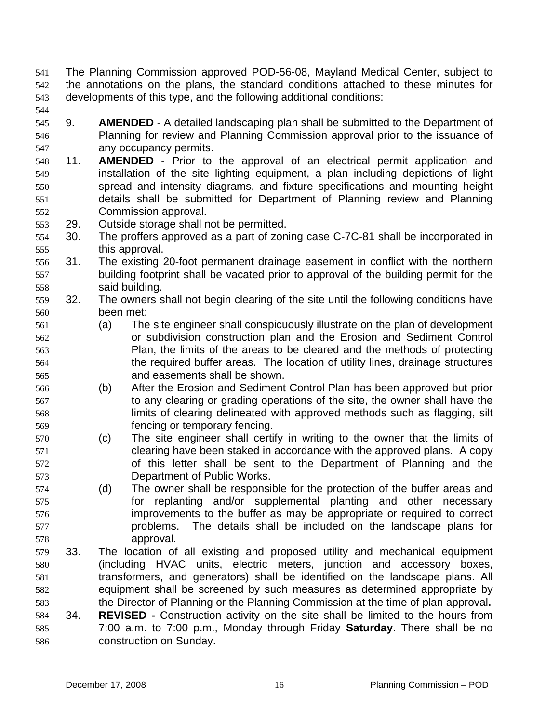- The Planning Commission approved POD-56-08, Mayland Medical Center, subject to the annotations on the plans, the standard conditions attached to these minutes for developments of this type, and the following additional conditions: 541 542 543
- 544
- 545 546 547 9. **AMENDED** - A detailed landscaping plan shall be submitted to the Department of Planning for review and Planning Commission approval prior to the issuance of any occupancy permits.
- 548 549 550 551 552 11. **AMENDED** - Prior to the approval of an electrical permit application and installation of the site lighting equipment, a plan including depictions of light spread and intensity diagrams, and fixture specifications and mounting height details shall be submitted for Department of Planning review and Planning Commission approval.
- 553 29. Outside storage shall not be permitted.
- 554 555 30. The proffers approved as a part of zoning case C-7C-81 shall be incorporated in this approval.
- 556 557 558 31. The existing 20-foot permanent drainage easement in conflict with the northern building footprint shall be vacated prior to approval of the building permit for the said building.
- 559 560 32. The owners shall not begin clearing of the site until the following conditions have been met:
- 561 562 563 564 565 (a) The site engineer shall conspicuously illustrate on the plan of development or subdivision construction plan and the Erosion and Sediment Control Plan, the limits of the areas to be cleared and the methods of protecting the required buffer areas. The location of utility lines, drainage structures and easements shall be shown.
- 566 567 568 569 (b) After the Erosion and Sediment Control Plan has been approved but prior to any clearing or grading operations of the site, the owner shall have the limits of clearing delineated with approved methods such as flagging, silt fencing or temporary fencing.
- 570 571 572 573 (c) The site engineer shall certify in writing to the owner that the limits of clearing have been staked in accordance with the approved plans. A copy of this letter shall be sent to the Department of Planning and the Department of Public Works.
- 574 575 576 577 578 (d) The owner shall be responsible for the protection of the buffer areas and for replanting and/or supplemental planting and other necessary improvements to the buffer as may be appropriate or required to correct problems. The details shall be included on the landscape plans for approval.
- 580 581 582 583 584 579 33. The location of all existing and proposed utility and mechanical equipment (including HVAC units, electric meters, junction and accessory boxes, transformers, and generators) shall be identified on the landscape plans. All equipment shall be screened by such measures as determined appropriate by the Director of Planning or the Planning Commission at the time of plan approval**.**  34. **REVISED -** Construction activity on the site shall be limited to the hours from 7:00 a.m. to 7:00 p.m., Monday through Friday **Saturday**. There shall be no construction on Sunday. 585 586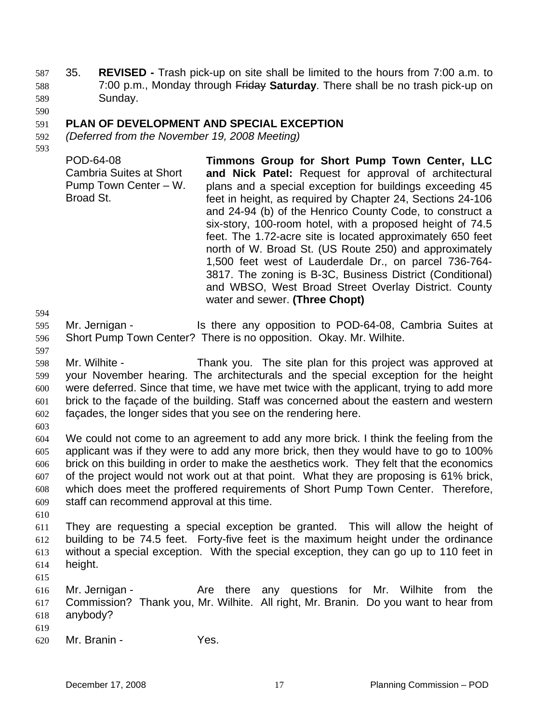- 35. **REVISED** Trash pick-up on site shall be limited to the hours from 7:00 a.m. to 7:00 p.m., Monday through Friday **Saturday**. There shall be no trash pick-up on 587 Sunday. 588 589
- 590

#### 591 **PLAN OF DEVELOPMENT AND SPECIAL EXCEPTION**

- 592 *(Deferred from the November 19, 2008 Meeting)*
- 593

POD-64-08 Cambria Suites at Short Pump Town Center – W. Broad St. **Timmons Group for Short Pump Town Center, LLC and Nick Patel:** Request for approval of architectural plans and a special exception for buildings exceeding 45 feet in height, as required by Chapter 24, Sections 24-106 and 24-94 (b) of the Henrico County Code, to construct a six-story, 100-room hotel, with a proposed height of 74.5 feet. The 1.72-acre site is located approximately 650 feet north of W. Broad St. (US Route 250) and approximately 1,500 feet west of Lauderdale Dr., on parcel 736-764- 3817. The zoning is B-3C, Business District (Conditional) and WBSO, West Broad Street Overlay District. County water and sewer. **(Three Chopt)** 

594

595 596 Mr. Jernigan - Is there any opposition to POD-64-08, Cambria Suites at Short Pump Town Center? There is no opposition. Okay. Mr. Wilhite.

597

598 599 600 601 602 Mr. Wilhite - Thank you. The site plan for this project was approved at your November hearing. The architecturals and the special exception for the height were deferred. Since that time, we have met twice with the applicant, trying to add more brick to the façade of the building. Staff was concerned about the eastern and western façades, the longer sides that you see on the rendering here.

603

604 605 606 607 608 609 We could not come to an agreement to add any more brick. I think the feeling from the applicant was if they were to add any more brick, then they would have to go to 100% brick on this building in order to make the aesthetics work. They felt that the economics of the project would not work out at that point. What they are proposing is 61% brick, which does meet the proffered requirements of Short Pump Town Center. Therefore, staff can recommend approval at this time.

610

611 612 613 614 They are requesting a special exception be granted. This will allow the height of building to be 74.5 feet. Forty-five feet is the maximum height under the ordinance without a special exception. With the special exception, they can go up to 110 feet in height.

615

616 617 618 Mr. Jernigan - The Are there any questions for Mr. Wilhite from the Commission? Thank you, Mr. Wilhite. All right, Mr. Branin. Do you want to hear from anybody?

- 619
- 620 Mr. Branin - Yes.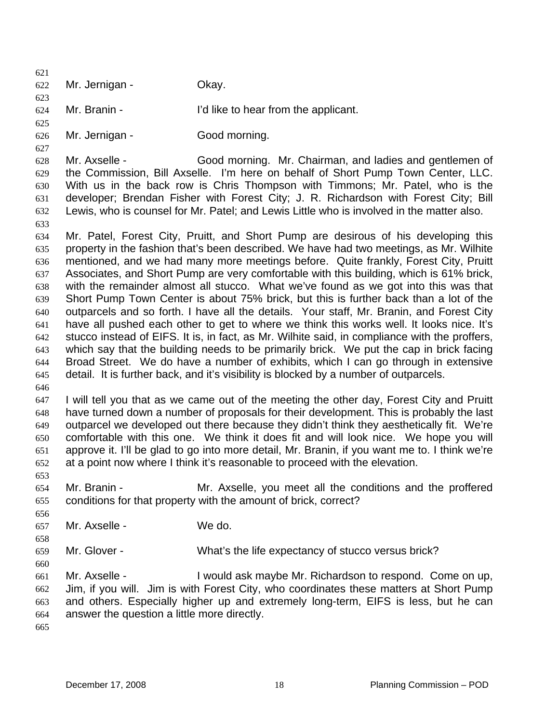621 622 623 Mr. Jernigan - Okay.

624 625 Mr. Branin - I'd like to hear from the applicant.

626 Mr. Jernigan - Good morning.

628 629 630 631 632 Mr. Axselle - Good morning. Mr. Chairman, and ladies and gentlemen of the Commission, Bill Axselle. I'm here on behalf of Short Pump Town Center, LLC. With us in the back row is Chris Thompson with Timmons; Mr. Patel, who is the developer; Brendan Fisher with Forest City; J. R. Richardson with Forest City; Bill Lewis, who is counsel for Mr. Patel; and Lewis Little who is involved in the matter also.

634 635 636 637 638 639 640 641 642 643 644 645 Mr. Patel, Forest City, Pruitt, and Short Pump are desirous of his developing this property in the fashion that's been described. We have had two meetings, as Mr. Wilhite mentioned, and we had many more meetings before. Quite frankly, Forest City, Pruitt Associates, and Short Pump are very comfortable with this building, which is 61% brick, with the remainder almost all stucco. What we've found as we got into this was that Short Pump Town Center is about 75% brick, but this is further back than a lot of the outparcels and so forth. I have all the details. Your staff, Mr. Branin, and Forest City have all pushed each other to get to where we think this works well. It looks nice. It's stucco instead of EIFS. It is, in fact, as Mr. Wilhite said, in compliance with the proffers, which say that the building needs to be primarily brick. We put the cap in brick facing Broad Street. We do have a number of exhibits, which I can go through in extensive detail. It is further back, and it's visibility is blocked by a number of outparcels.

646

627

633

647 648 649 650 651 652 I will tell you that as we came out of the meeting the other day, Forest City and Pruitt have turned down a number of proposals for their development. This is probably the last outparcel we developed out there because they didn't think they aesthetically fit. We're comfortable with this one. We think it does fit and will look nice. We hope you will approve it. I'll be glad to go into more detail, Mr. Branin, if you want me to. I think we're at a point now where I think it's reasonable to proceed with the elevation.

653

654 655 Mr. Branin - The Mr. Axselle, you meet all the conditions and the proffered conditions for that property with the amount of brick, correct?

656 657 Mr. Axselle - We do.

659 Mr. Glover - What's the life expectancy of stucco versus brick?

660

658

661 662 663 664 Mr. Axselle - I would ask maybe Mr. Richardson to respond. Come on up, Jim, if you will. Jim is with Forest City, who coordinates these matters at Short Pump and others. Especially higher up and extremely long-term, EIFS is less, but he can answer the question a little more directly.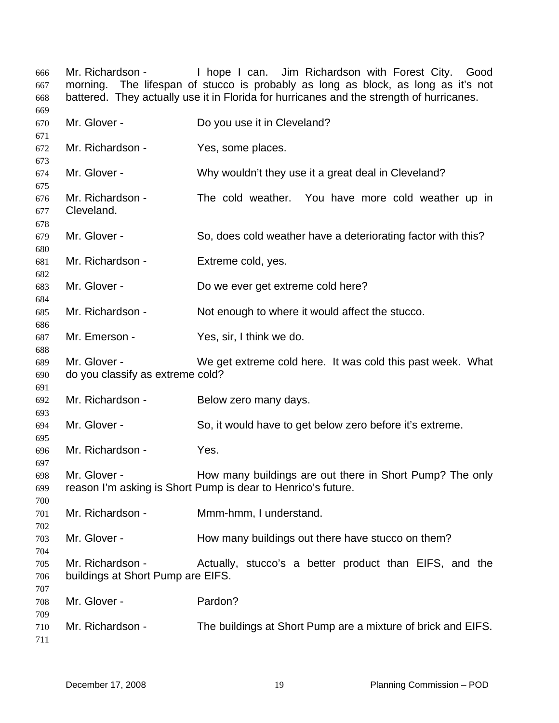Mr. Richardson - I hope I can. Jim Richardson with Forest City. Good morning. The lifespan of stucco is probably as long as block, as long as it's not battered. They actually use it in Florida for hurricanes and the strength of hurricanes. Mr. Glover - Do you use it in Cleveland? Mr. Richardson - Yes, some places. Mr. Glover - The Mhy wouldn't they use it a great deal in Cleveland? Mr. Richardson - The cold weather. You have more cold weather up in Cleveland. Mr. Glover - So, does cold weather have a deteriorating factor with this? Mr. Richardson - Extreme cold, yes. Mr. Glover - Do we ever get extreme cold here? Mr. Richardson - Not enough to where it would affect the stucco. Mr. Emerson - Yes, sir, I think we do. Mr. Glover - We get extreme cold here. It was cold this past week. What do you classify as extreme cold? Mr. Richardson - Below zero many days. Mr. Glover - So, it would have to get below zero before it's extreme. Mr. Richardson - Yes. Mr. Glover - **How many buildings are out there in Short Pump?** The only reason I'm asking is Short Pump is dear to Henrico's future. Mr. Richardson - Mmm-hmm, I understand. Mr. Glover - How many buildings out there have stucco on them? Mr. Richardson - Actually, stucco's a better product than EIFS, and the buildings at Short Pump are EIFS. Mr. Glover - Pardon? Mr. Richardson - The buildings at Short Pump are a mixture of brick and EIFS.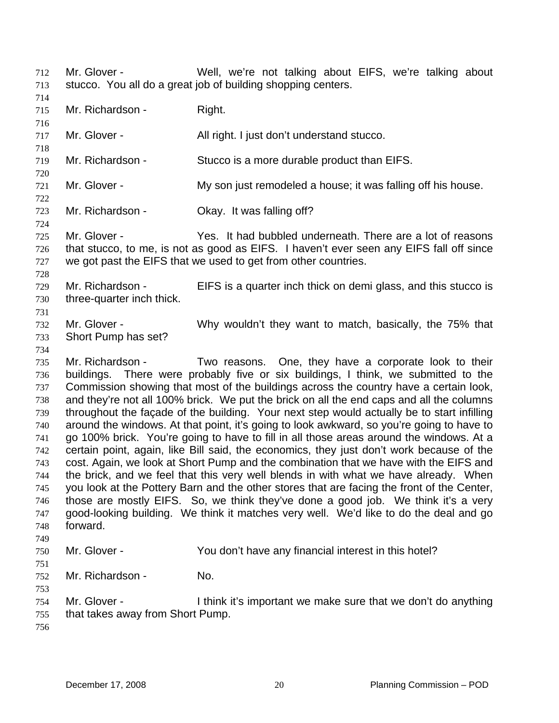- Mr. Glover Well, we're not talking about EIFS, we're talking about stucco. You all do a great job of building shopping centers. 712 713
- 714

716

718

720

722

724

715 Mr. Richardson - Right.

717 Mr. Glover - All right. I just don't understand stucco.

- 719 Mr. Richardson - Stucco is a more durable product than EIFS.
- 721 Mr. Glover - The My son just remodeled a house; it was falling off his house.
- 723 Mr. Richardson - **Okay.** It was falling off?
- 725 726 727 Mr. Glover - Yes. It had bubbled underneath. There are a lot of reasons that stucco, to me, is not as good as EIFS. I haven't ever seen any EIFS fall off since we got past the EIFS that we used to get from other countries.
- 728 729 three-quarter inch thick.
	- Mr. Richardson EIFS is a quarter inch thick on demi glass, and this stucco is
	- 731 732 733 Mr. Glover - Why wouldn't they want to match, basically, the 75% that Short Pump has set?
	- 734

730

735 736 737 738 739 740 741 742 743 744 745 746 747 748 749 Mr. Richardson - Two reasons. One, they have a corporate look to their buildings. There were probably five or six buildings, I think, we submitted to the Commission showing that most of the buildings across the country have a certain look, and they're not all 100% brick. We put the brick on all the end caps and all the columns throughout the façade of the building. Your next step would actually be to start infilling around the windows. At that point, it's going to look awkward, so you're going to have to go 100% brick. You're going to have to fill in all those areas around the windows. At a certain point, again, like Bill said, the economics, they just don't work because of the cost. Again, we look at Short Pump and the combination that we have with the EIFS and the brick, and we feel that this very well blends in with what we have already. When you look at the Pottery Barn and the other stores that are facing the front of the Center, those are mostly EIFS. So, we think they've done a good job. We think it's a very good-looking building. We think it matches very well. We'd like to do the deal and go forward.

- 750 Mr. Glover - You don't have any financial interest in this hotel?
- 751

753

- Mr. Richardson No.
- 754 755 Mr. Glover - I think it's important we make sure that we don't do anything that takes away from Short Pump.
- 756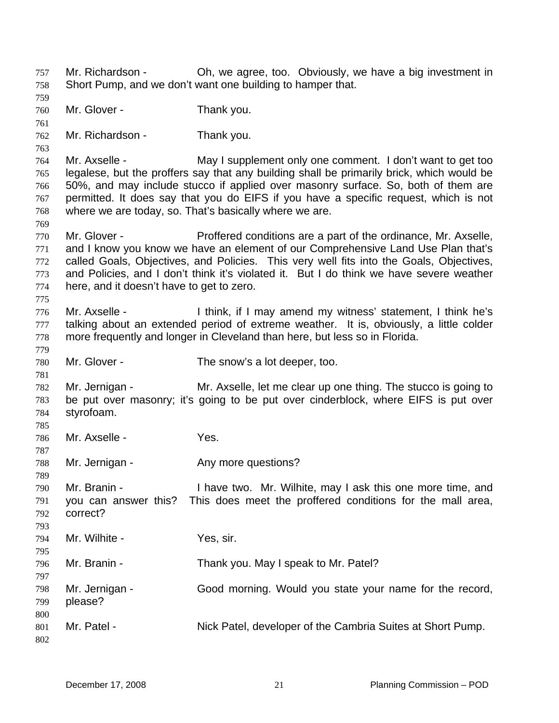Mr. Richardson - Oh, we agree, too. Obviously, we have a big investment in Short Pump, and we don't want one building to hamper that. 757 758 759 760 761 762 763 764 765 766 767 768 769 770 771 772 773 774 775 776 777 778 779 780 781 782 783 784 785 786 787 788 789 790 791 792 793 794 795 796 797 798 799 800 801 802 Mr. Glover - Thank you. Mr. Richardson - Thank you. Mr. Axselle - May I supplement only one comment. I don't want to get too legalese, but the proffers say that any building shall be primarily brick, which would be 50%, and may include stucco if applied over masonry surface. So, both of them are permitted. It does say that you do EIFS if you have a specific request, which is not where we are today, so. That's basically where we are. Mr. Glover - Proffered conditions are a part of the ordinance, Mr. Axselle, and I know you know we have an element of our Comprehensive Land Use Plan that's called Goals, Objectives, and Policies. This very well fits into the Goals, Objectives, and Policies, and I don't think it's violated it. But I do think we have severe weather here, and it doesn't have to get to zero. Mr. Axselle - I think, if I may amend my witness' statement, I think he's talking about an extended period of extreme weather. It is, obviously, a little colder more frequently and longer in Cleveland than here, but less so in Florida. Mr. Glover - The snow's a lot deeper, too. Mr. Jernigan - Mr. Axselle, let me clear up one thing. The stucco is going to be put over masonry; it's going to be put over cinderblock, where EIFS is put over styrofoam. Mr. Axselle - Yes. Mr. Jernigan - The Any more questions? Mr. Branin - Thave two. Mr. Wilhite, may I ask this one more time, and you can answer this? This does meet the proffered conditions for the mall area, correct? Mr. Wilhite - Yes, sir. Mr. Branin - Thank you. May I speak to Mr. Patel? Mr. Jernigan - Good morning. Would you state your name for the record, please? Mr. Patel - Nick Patel, developer of the Cambria Suites at Short Pump.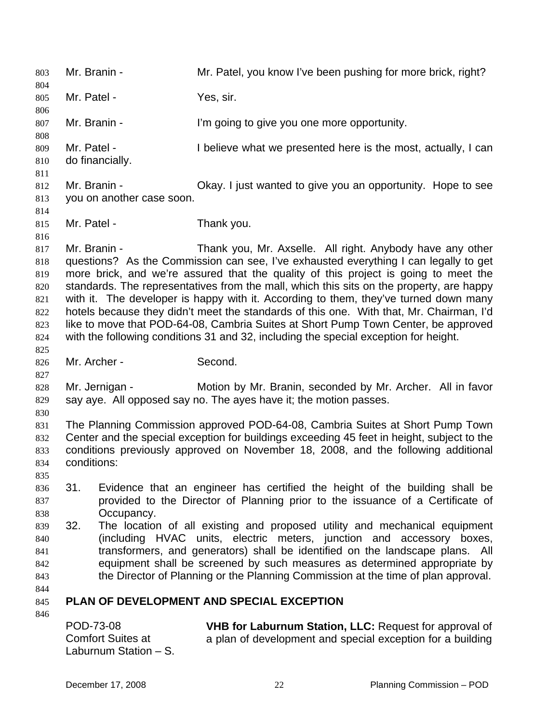803 Mr. Branin - Mr. Patel, you know I've been pushing for more brick, right? 804 805 806 807 808 809 810 811 812 813 814 815 816 817 818 819 820 821 822 823 824 825 826 827 828 829 830 831 832 833 834 835 836 837 838 839 840 841 842 843 844 845 846 Mr. Patel - Yes, sir. Mr. Branin - The I'm going to give you one more opportunity. Mr. Patel - Thelieve what we presented here is the most, actually, I can do financially. Mr. Branin - Ckay. I just wanted to give you an opportunity. Hope to see you on another case soon. Mr. Patel - Thank you. Mr. Branin - Thank you, Mr. Axselle. All right. Anybody have any other questions? As the Commission can see, I've exhausted everything I can legally to get more brick, and we're assured that the quality of this project is going to meet the standards. The representatives from the mall, which this sits on the property, are happy with it. The developer is happy with it. According to them, they've turned down many hotels because they didn't meet the standards of this one. With that, Mr. Chairman, I'd like to move that POD-64-08, Cambria Suites at Short Pump Town Center, be approved with the following conditions 31 and 32, including the special exception for height. Mr. Archer - Second. Mr. Jernigan - Motion by Mr. Branin, seconded by Mr. Archer. All in favor say aye. All opposed say no. The ayes have it; the motion passes. The Planning Commission approved POD-64-08, Cambria Suites at Short Pump Town Center and the special exception for buildings exceeding 45 feet in height, subject to the conditions previously approved on November 18, 2008, and the following additional conditions: 31. Evidence that an engineer has certified the height of the building shall be provided to the Director of Planning prior to the issuance of a Certificate of Occupancy. 32. The location of all existing and proposed utility and mechanical equipment (including HVAC units, electric meters, junction and accessory boxes, transformers, and generators) shall be identified on the landscape plans. All equipment shall be screened by such measures as determined appropriate by the Director of Planning or the Planning Commission at the time of plan approval. **PLAN OF DEVELOPMENT AND SPECIAL EXCEPTION**  POD-73-08 Comfort Suites at **VHB for Laburnum Station, LLC:** Request for approval of a plan of development and special exception for a building

Laburnum Station – S.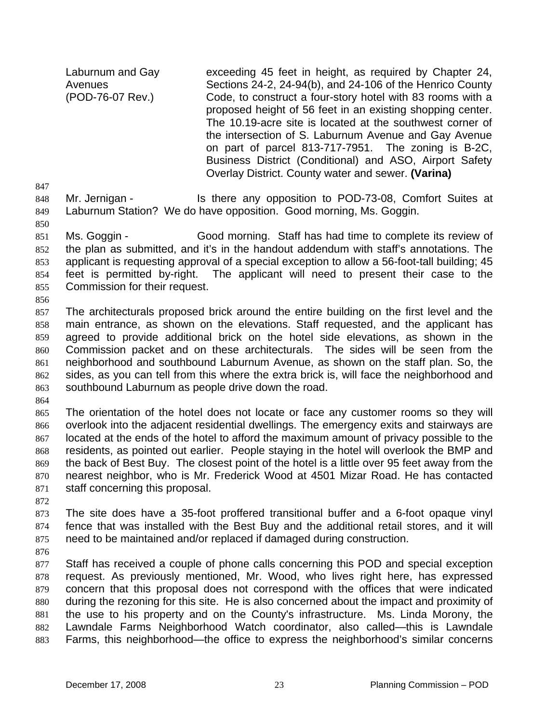Laburnum and Gay **Avenues** (POD-76-07 Rev.)

exceeding 45 feet in height, as required by Chapter 24, Sections 24-2, 24-94(b), and 24-106 of the Henrico County Code, to construct a four-story hotel with 83 rooms with a proposed height of 56 feet in an existing shopping center. The 10.19-acre site is located at the southwest corner of the intersection of S. Laburnum Avenue and Gay Avenue on part of parcel 813-717-7951. The zoning is B-2C, Business District (Conditional) and ASO, Airport Safety Overlay District. County water and sewer. **(Varina)** 

847

848 849 Mr. Jernigan - Is there any opposition to POD-73-08, Comfort Suites at Laburnum Station? We do have opposition. Good morning, Ms. Goggin.

850

851 852 853 854 855 Ms. Goggin - Good morning. Staff has had time to complete its review of the plan as submitted, and it's in the handout addendum with staff's annotations. The applicant is requesting approval of a special exception to allow a 56-foot-tall building; 45 feet is permitted by-right. The applicant will need to present their case to the Commission for their request.

856

857 858 859 860 861 862 863 The architecturals proposed brick around the entire building on the first level and the main entrance, as shown on the elevations. Staff requested, and the applicant has agreed to provide additional brick on the hotel side elevations, as shown in the Commission packet and on these architecturals. The sides will be seen from the neighborhood and southbound Laburnum Avenue, as shown on the staff plan. So, the sides, as you can tell from this where the extra brick is, will face the neighborhood and southbound Laburnum as people drive down the road.

864

865 866 867 868 869 870 871 The orientation of the hotel does not locate or face any customer rooms so they will overlook into the adjacent residential dwellings. The emergency exits and stairways are located at the ends of the hotel to afford the maximum amount of privacy possible to the residents, as pointed out earlier. People staying in the hotel will overlook the BMP and the back of Best Buy. The closest point of the hotel is a little over 95 feet away from the nearest neighbor, who is Mr. Frederick Wood at 4501 Mizar Road. He has contacted staff concerning this proposal.

872

873 874 875 The site does have a 35-foot proffered transitional buffer and a 6-foot opaque vinyl fence that was installed with the Best Buy and the additional retail stores, and it will need to be maintained and/or replaced if damaged during construction.

876

877 878 879 880 881 882 883 Staff has received a couple of phone calls concerning this POD and special exception request. As previously mentioned, Mr. Wood, who lives right here, has expressed concern that this proposal does not correspond with the offices that were indicated during the rezoning for this site. He is also concerned about the impact and proximity of the use to his property and on the County's infrastructure. Ms. Linda Morony, the Lawndale Farms Neighborhood Watch coordinator, also called—this is Lawndale Farms, this neighborhood—the office to express the neighborhood's similar concerns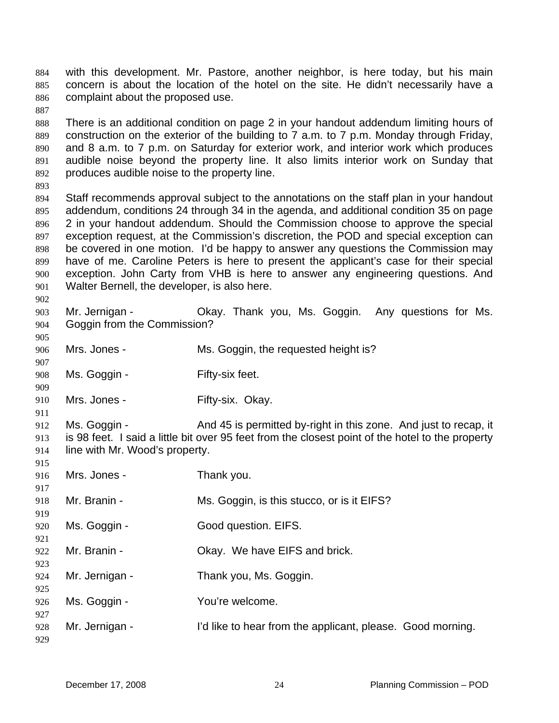with this development. Mr. Pastore, another neighbor, is here today, but his main concern is about the location of the hotel on the site. He didn't necessarily have a complaint about the proposed use. 884 885 886

888 889 890 891 892 There is an additional condition on page 2 in your handout addendum limiting hours of construction on the exterior of the building to 7 a.m. to 7 p.m. Monday through Friday, and 8 a.m. to 7 p.m. on Saturday for exterior work, and interior work which produces audible noise beyond the property line. It also limits interior work on Sunday that produces audible noise to the property line.

893

907

909

887

894 895 896 897 898 899 900 901 Staff recommends approval subject to the annotations on the staff plan in your handout addendum, conditions 24 through 34 in the agenda, and additional condition 35 on page 2 in your handout addendum. Should the Commission choose to approve the special exception request, at the Commission's discretion, the POD and special exception can be covered in one motion. I'd be happy to answer any questions the Commission may have of me. Caroline Peters is here to present the applicant's case for their special exception. John Carty from VHB is here to answer any engineering questions. And Walter Bernell, the developer, is also here.

902 903 904 905 Mr. Jernigan - Ckay. Thank you, Ms. Goggin. Any questions for Ms. Goggin from the Commission?

- 906 Mrs. Jones - Ms. Goggin, the requested height is?
- 908 Ms. Goggin - Fifty-six feet.
- 910 Mrs. Jones - Fifty-six. Okay.
- 911 912 913 914 Ms. Goggin - And 45 is permitted by-right in this zone. And just to recap, it is 98 feet. I said a little bit over 95 feet from the closest point of the hotel to the property line with Mr. Wood's property.
- 915 916 917 918 919 920 921 922 923 924 925 926 927 928 929 Mrs. Jones - Thank you. Mr. Branin - Ms. Goggin, is this stucco, or is it EIFS? Ms. Goggin - Good question. EIFS. Mr. Branin - Chay. We have EIFS and brick. Mr. Jernigan - Thank you, Ms. Goggin. Ms. Goggin - You're welcome. Mr. Jernigan - I'd like to hear from the applicant, please. Good morning.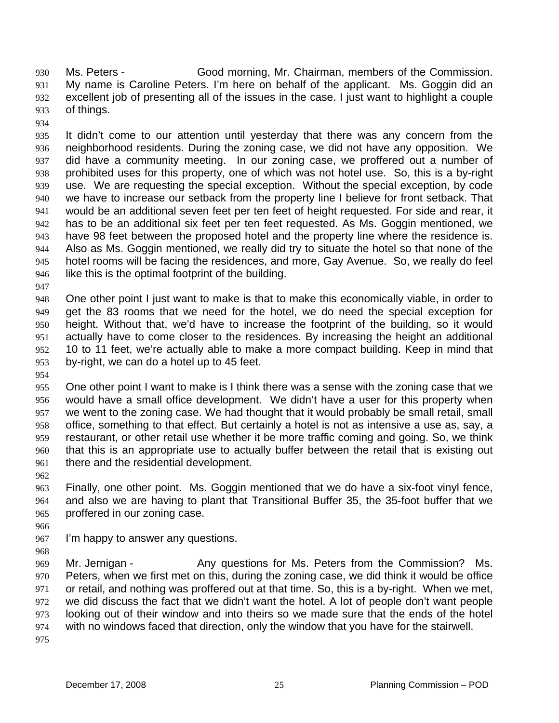Ms. Peters - Good morning, Mr. Chairman, members of the Commission. My name is Caroline Peters. I'm here on behalf of the applicant. Ms. Goggin did an excellent job of presenting all of the issues in the case. I just want to highlight a couple of things. 930 931 932 933

934

935 936 937 938 939 940 941 942 943 944 945 946 It didn't come to our attention until yesterday that there was any concern from the neighborhood residents. During the zoning case, we did not have any opposition. We did have a community meeting. In our zoning case, we proffered out a number of prohibited uses for this property, one of which was not hotel use. So, this is a by-right use. We are requesting the special exception. Without the special exception, by code we have to increase our setback from the property line I believe for front setback. That would be an additional seven feet per ten feet of height requested. For side and rear, it has to be an additional six feet per ten feet requested. As Ms. Goggin mentioned, we have 98 feet between the proposed hotel and the property line where the residence is. Also as Ms. Goggin mentioned, we really did try to situate the hotel so that none of the hotel rooms will be facing the residences, and more, Gay Avenue. So, we really do feel like this is the optimal footprint of the building.

947

948 949 950 951 952 953 One other point I just want to make is that to make this economically viable, in order to get the 83 rooms that we need for the hotel, we do need the special exception for height. Without that, we'd have to increase the footprint of the building, so it would actually have to come closer to the residences. By increasing the height an additional 10 to 11 feet, we're actually able to make a more compact building. Keep in mind that by-right, we can do a hotel up to 45 feet.

954

955 956 957 958 959 960 961 One other point I want to make is I think there was a sense with the zoning case that we would have a small office development. We didn't have a user for this property when we went to the zoning case. We had thought that it would probably be small retail, small office, something to that effect. But certainly a hotel is not as intensive a use as, say, a restaurant, or other retail use whether it be more traffic coming and going. So, we think that this is an appropriate use to actually buffer between the retail that is existing out there and the residential development.

962

963 964 965 Finally, one other point. Ms. Goggin mentioned that we do have a six-foot vinyl fence, and also we are having to plant that Transitional Buffer 35, the 35-foot buffer that we proffered in our zoning case.

966

967 I'm happy to answer any questions.

968

969 970 971 972 973 974 Mr. Jernigan - The Any questions for Ms. Peters from the Commission? Ms. Peters, when we first met on this, during the zoning case, we did think it would be office or retail, and nothing was proffered out at that time. So, this is a by-right. When we met, we did discuss the fact that we didn't want the hotel. A lot of people don't want people looking out of their window and into theirs so we made sure that the ends of the hotel with no windows faced that direction, only the window that you have for the stairwell.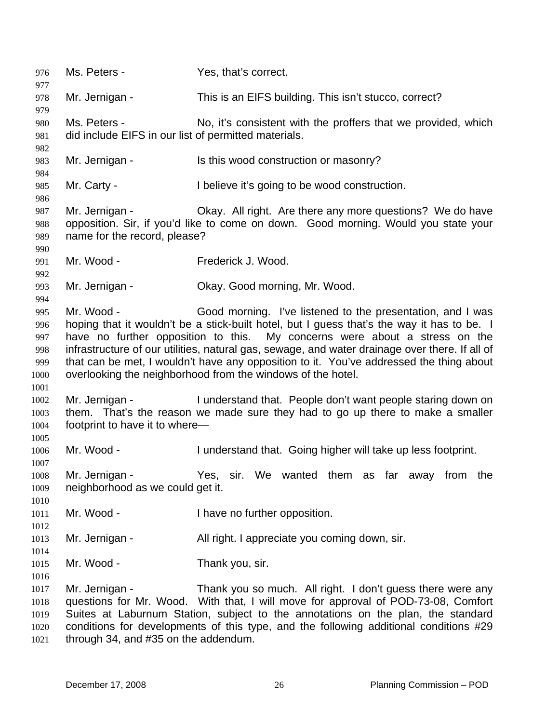976 Ms. Peters - Yes, that's correct. 977 978 979 980 981 982 983 984 985 986 987 988 989 990 991 992 993 994 995 996 997 998 999 1000 1001 1002 1003 1004 1005 1006 1007 1008 1009 1010 1011 1012 1013 1014 1015 1016 1017 1018 1019 1020 1021 Mr. Jernigan - This is an EIFS building. This isn't stucco, correct? Ms. Peters - No, it's consistent with the proffers that we provided, which did include EIFS in our list of permitted materials. Mr. Jernigan - Is this wood construction or masonry? Mr. Carty - I believe it's going to be wood construction. Mr. Jernigan - Ckay. All right. Are there any more questions? We do have opposition. Sir, if you'd like to come on down. Good morning. Would you state your name for the record, please? Mr. Wood - Frederick J. Wood. Mr. Jernigan - Ckay. Good morning, Mr. Wood. Mr. Wood - Good morning. I've listened to the presentation, and I was hoping that it wouldn't be a stick-built hotel, but I guess that's the way it has to be. I have no further opposition to this. My concerns were about a stress on the infrastructure of our utilities, natural gas, sewage, and water drainage over there. If all of that can be met, I wouldn't have any opposition to it. You've addressed the thing about overlooking the neighborhood from the windows of the hotel. Mr. Jernigan - The Inderstand that. People don't want people staring down on them. That's the reason we made sure they had to go up there to make a smaller footprint to have it to where— Mr. Wood - I understand that. Going higher will take up less footprint. Mr. Jernigan - Yes, sir. We wanted them as far away from the neighborhood as we could get it. Mr. Wood - Thave no further opposition. Mr. Jernigan - All right. I appreciate you coming down, sir. Mr. Wood - Thank you, sir. Mr. Jernigan - Thank you so much. All right. I don't guess there were any questions for Mr. Wood. With that, I will move for approval of POD-73-08, Comfort Suites at Laburnum Station, subject to the annotations on the plan, the standard conditions for developments of this type, and the following additional conditions #29 through 34, and #35 on the addendum.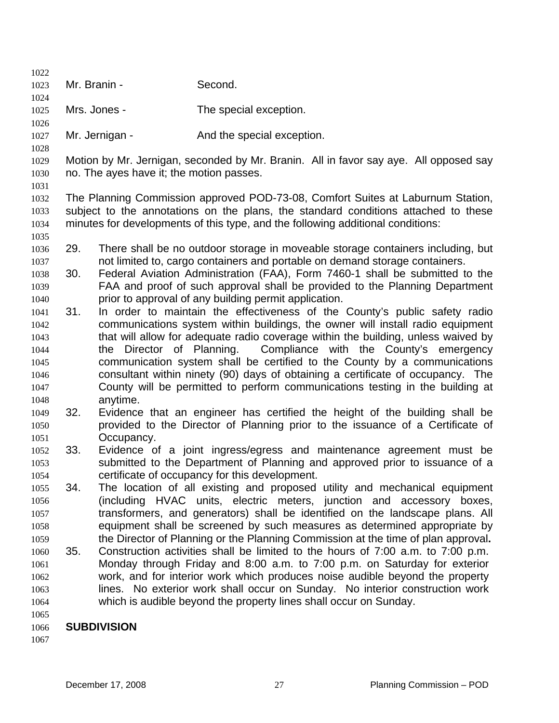| 1022         |              |                                          |                                                                                                                                                                |  |
|--------------|--------------|------------------------------------------|----------------------------------------------------------------------------------------------------------------------------------------------------------------|--|
| 1023         | Mr. Branin - |                                          | Second.                                                                                                                                                        |  |
| 1024         |              |                                          |                                                                                                                                                                |  |
| 1025         | Mrs. Jones - |                                          | The special exception.                                                                                                                                         |  |
| 1026         |              |                                          |                                                                                                                                                                |  |
| 1027         |              | Mr. Jernigan -                           | And the special exception.                                                                                                                                     |  |
| 1028         |              |                                          |                                                                                                                                                                |  |
| 1029         |              |                                          | Motion by Mr. Jernigan, seconded by Mr. Branin. All in favor say aye. All opposed say                                                                          |  |
| 1030         |              | no. The ayes have it; the motion passes. |                                                                                                                                                                |  |
| 1031         |              |                                          |                                                                                                                                                                |  |
| 1032         |              |                                          | The Planning Commission approved POD-73-08, Comfort Suites at Laburnum Station,                                                                                |  |
| 1033         |              |                                          | subject to the annotations on the plans, the standard conditions attached to these                                                                             |  |
| 1034         |              |                                          | minutes for developments of this type, and the following additional conditions:                                                                                |  |
| 1035         | 29.          |                                          |                                                                                                                                                                |  |
| 1036         |              |                                          | There shall be no outdoor storage in moveable storage containers including, but<br>not limited to, cargo containers and portable on demand storage containers. |  |
| 1037<br>1038 | 30.          |                                          | Federal Aviation Administration (FAA), Form 7460-1 shall be submitted to the                                                                                   |  |
| 1039         |              |                                          | FAA and proof of such approval shall be provided to the Planning Department                                                                                    |  |
| 1040         |              |                                          | prior to approval of any building permit application.                                                                                                          |  |
| 1041         | 31.          |                                          | In order to maintain the effectiveness of the County's public safety radio                                                                                     |  |
| 1042         |              |                                          | communications system within buildings, the owner will install radio equipment                                                                                 |  |
| 1043         |              |                                          | that will allow for adequate radio coverage within the building, unless waived by                                                                              |  |
| 1044         |              | Director of Planning.<br>the             | Compliance with the County's emergency                                                                                                                         |  |
| 1045         |              |                                          | communication system shall be certified to the County by a communications                                                                                      |  |
| 1046         |              |                                          | consultant within ninety (90) days of obtaining a certificate of occupancy. The                                                                                |  |
| 1047         |              |                                          | County will be permitted to perform communications testing in the building at                                                                                  |  |
| 1048         |              | anytime.                                 |                                                                                                                                                                |  |
| 1049         | 32.          |                                          | Evidence that an engineer has certified the height of the building shall be                                                                                    |  |
| 1050         |              |                                          | provided to the Director of Planning prior to the issuance of a Certificate of                                                                                 |  |
| 1051         |              | Occupancy.                               |                                                                                                                                                                |  |
| 1052         | 33.          |                                          | Evidence of a joint ingress/egress and maintenance agreement must be                                                                                           |  |
| 1053         |              |                                          | submitted to the Department of Planning and approved prior to issuance of a                                                                                    |  |
| 1054         |              |                                          | certificate of occupancy for this development.                                                                                                                 |  |
| 1055         | 34.          |                                          | The location of all existing and proposed utility and mechanical equipment                                                                                     |  |
| 1056         |              |                                          | (including HVAC units, electric meters, junction and accessory boxes,                                                                                          |  |
| 1057         |              |                                          | transformers, and generators) shall be identified on the landscape plans. All                                                                                  |  |
| 1058         |              |                                          | equipment shall be screened by such measures as determined appropriate by                                                                                      |  |
| 1059         |              |                                          | the Director of Planning or the Planning Commission at the time of plan approval.                                                                              |  |
| 1060         | 35.          |                                          | Construction activities shall be limited to the hours of 7:00 a.m. to 7:00 p.m.                                                                                |  |
| 1061         |              |                                          | Monday through Friday and 8:00 a.m. to 7:00 p.m. on Saturday for exterior                                                                                      |  |
| 1062         |              |                                          | work, and for interior work which produces noise audible beyond the property                                                                                   |  |
| 1063         |              |                                          | lines. No exterior work shall occur on Sunday. No interior construction work                                                                                   |  |
| 1064         |              |                                          | which is audible beyond the property lines shall occur on Sunday.                                                                                              |  |
| 1065         |              |                                          |                                                                                                                                                                |  |
| 1066         |              | <b>SUBDIVISION</b>                       |                                                                                                                                                                |  |
| 1067         |              |                                          |                                                                                                                                                                |  |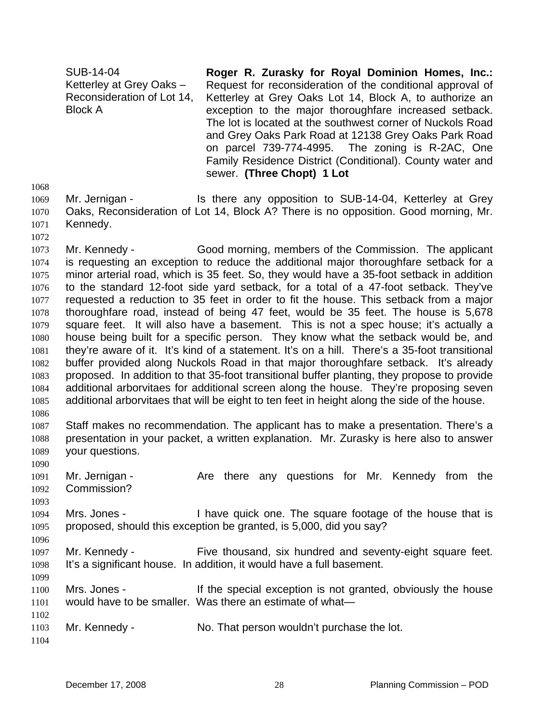SUB-14-04 Ketterley at Grey Oaks – Reconsideration of Lot 14, Block A **Roger R. Zurasky for Royal Dominion Homes, Inc.:**  Request for reconsideration of the conditional approval of Ketterley at Grey Oaks Lot 14, Block A, to authorize an exception to the major thoroughfare increased setback. The lot is located at the southwest corner of Nuckols Road and Grey Oaks Park Road at 12138 Grey Oaks Park Road on parcel 739-774-4995. The zoning is R-2AC, One Family Residence District (Conditional). County water and sewer. **(Three Chopt) 1 Lot** 

1068

1072

1069 1070 1071 Mr. Jernigan - Is there any opposition to SUB-14-04, Ketterley at Grey Oaks, Reconsideration of Lot 14, Block A? There is no opposition. Good morning, Mr. Kennedy.

1073 1074 1075 1076 1077 1078 1079 1080 1081 1082 1083 1084 1085 1086 Mr. Kennedy - Good morning, members of the Commission. The applicant is requesting an exception to reduce the additional major thoroughfare setback for a minor arterial road, which is 35 feet. So, they would have a 35-foot setback in addition to the standard 12-foot side yard setback, for a total of a 47-foot setback. They've requested a reduction to 35 feet in order to fit the house. This setback from a major thoroughfare road, instead of being 47 feet, would be 35 feet. The house is 5,678 square feet. It will also have a basement. This is not a spec house; it's actually a house being built for a specific person. They know what the setback would be, and they're aware of it. It's kind of a statement. It's on a hill. There's a 35-foot transitional buffer provided along Nuckols Road in that major thoroughfare setback. It's already proposed. In addition to that 35-foot transitional buffer planting, they propose to provide additional arborvitaes for additional screen along the house. They're proposing seven additional arborvitaes that will be eight to ten feet in height along the side of the house.

1087 1088 1089 Staff makes no recommendation. The applicant has to make a presentation. There's a presentation in your packet, a written explanation. Mr. Zurasky is here also to answer your questions.

1090 1091 1092 Mr. Jernigan - The Are there any questions for Mr. Kennedy from the Commission?

1094 1095 Mrs. Jones - I have quick one. The square footage of the house that is proposed, should this exception be granted, is 5,000, did you say?

1097 1098 1099 Mr. Kennedy - Five thousand, six hundred and seventy-eight square feet. It's a significant house. In addition, it would have a full basement.

1100 1101 Mrs. Jones - If the special exception is not granted, obviously the house would have to be smaller. Was there an estimate of what—

1103 Mr. Kennedy - No. That person wouldn't purchase the lot.

1104

1102

1093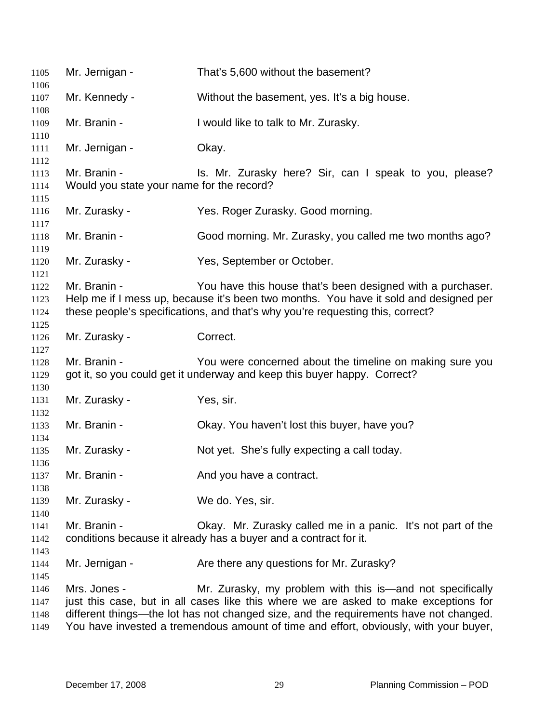| 1105                         | Mr. Jernigan -                                            | That's 5,600 without the basement?                                                                                                                                                                                                         |
|------------------------------|-----------------------------------------------------------|--------------------------------------------------------------------------------------------------------------------------------------------------------------------------------------------------------------------------------------------|
| 1106<br>1107                 | Mr. Kennedy -                                             | Without the basement, yes. It's a big house.                                                                                                                                                                                               |
| 1108                         |                                                           |                                                                                                                                                                                                                                            |
| 1109<br>1110                 | Mr. Branin -                                              | I would like to talk to Mr. Zurasky.                                                                                                                                                                                                       |
| 1111<br>1112                 | Mr. Jernigan -                                            | Okay.                                                                                                                                                                                                                                      |
| 1113<br>1114                 | Mr. Branin -<br>Would you state your name for the record? | Is. Mr. Zurasky here? Sir, can I speak to you, please?                                                                                                                                                                                     |
| 1115                         |                                                           |                                                                                                                                                                                                                                            |
| 1116<br>1117                 | Mr. Zurasky -                                             | Yes. Roger Zurasky. Good morning.                                                                                                                                                                                                          |
| 1118<br>1119                 | Mr. Branin -                                              | Good morning. Mr. Zurasky, you called me two months ago?                                                                                                                                                                                   |
| 1120                         | Mr. Zurasky -                                             | Yes, September or October.                                                                                                                                                                                                                 |
| 1121<br>1122<br>1123<br>1124 | Mr. Branin -                                              | You have this house that's been designed with a purchaser.<br>Help me if I mess up, because it's been two months. You have it sold and designed per<br>these people's specifications, and that's why you're requesting this, correct?      |
| 1125<br>1126<br>1127         | Mr. Zurasky -                                             | Correct.                                                                                                                                                                                                                                   |
| 1128<br>1129                 | Mr. Branin -                                              | You were concerned about the timeline on making sure you<br>got it, so you could get it underway and keep this buyer happy. Correct?                                                                                                       |
| 1130<br>1131                 | Mr. Zurasky -                                             | Yes, sir.                                                                                                                                                                                                                                  |
| 1132<br>1133                 | Mr. Branin -                                              | Okay. You haven't lost this buyer, have you?                                                                                                                                                                                               |
| 1134<br>1135<br>1136         | Mr. Zurasky -                                             | Not yet. She's fully expecting a call today.                                                                                                                                                                                               |
| 1137                         | Mr. Branin -                                              | And you have a contract.                                                                                                                                                                                                                   |
| 1138<br>1139                 | Mr. Zurasky -                                             | We do. Yes, sir.                                                                                                                                                                                                                           |
| 1140<br>1141<br>1142         | Mr. Branin -                                              | Okay. Mr. Zurasky called me in a panic. It's not part of the<br>conditions because it already has a buyer and a contract for it.                                                                                                           |
| 1143<br>1144                 | Mr. Jernigan -                                            | Are there any questions for Mr. Zurasky?                                                                                                                                                                                                   |
| 1145<br>1146<br>1147<br>1148 | Mrs. Jones -                                              | Mr. Zurasky, my problem with this is—and not specifically<br>just this case, but in all cases like this where we are asked to make exceptions for<br>different things—the lot has not changed size, and the requirements have not changed. |

 You have invested a tremendous amount of time and effort, obviously, with your buyer,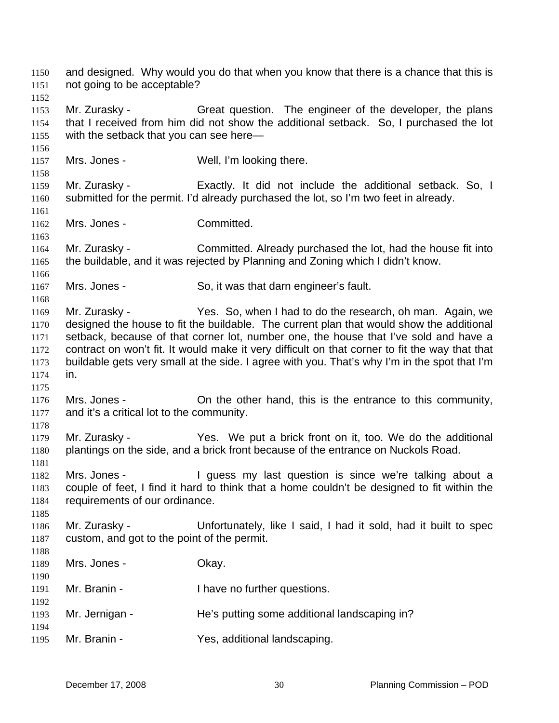and designed. Why would you do that when you know that there is a chance that this is not going to be acceptable? 1150 1151 1152 1153 1154 1155 1156 1157 1158 1159 1160 1161 1162 1163 1164 1165 1166 1167 1168 1169 1170 1171 1172 1173 1174 1175 1176 1177 1178 1179 1180 1181 1182 1183 1184 1185 1186 1187 1188 1189 1190 1191 1192 1193 1194 1195 Mr. Zurasky - Great question. The engineer of the developer, the plans that I received from him did not show the additional setback. So, I purchased the lot with the setback that you can see here— Mrs. Jones - Well, I'm looking there. Mr. Zurasky - Exactly. It did not include the additional setback. So, I submitted for the permit. I'd already purchased the lot, so I'm two feet in already. Mrs. Jones - Committed. Mr. Zurasky - Committed. Already purchased the lot, had the house fit into the buildable, and it was rejected by Planning and Zoning which I didn't know. Mrs. Jones - So, it was that darn engineer's fault. Mr. Zurasky - Yes. So, when I had to do the research, oh man. Again, we designed the house to fit the buildable. The current plan that would show the additional setback, because of that corner lot, number one, the house that I've sold and have a contract on won't fit. It would make it very difficult on that corner to fit the way that that buildable gets very small at the side. I agree with you. That's why I'm in the spot that I'm in. Mrs. Jones - On the other hand, this is the entrance to this community, and it's a critical lot to the community. Mr. Zurasky - The Yes. We put a brick front on it, too. We do the additional plantings on the side, and a brick front because of the entrance on Nuckols Road. Mrs. Jones - The Squess my last question is since we're talking about a couple of feet, I find it hard to think that a home couldn't be designed to fit within the requirements of our ordinance. Mr. Zurasky - Unfortunately, like I said, I had it sold, had it built to spec custom, and got to the point of the permit. Mrs. Jones - Ckay. Mr. Branin - Thave no further questions. Mr. Jernigan - The's putting some additional landscaping in? Mr. Branin - Yes, additional landscaping.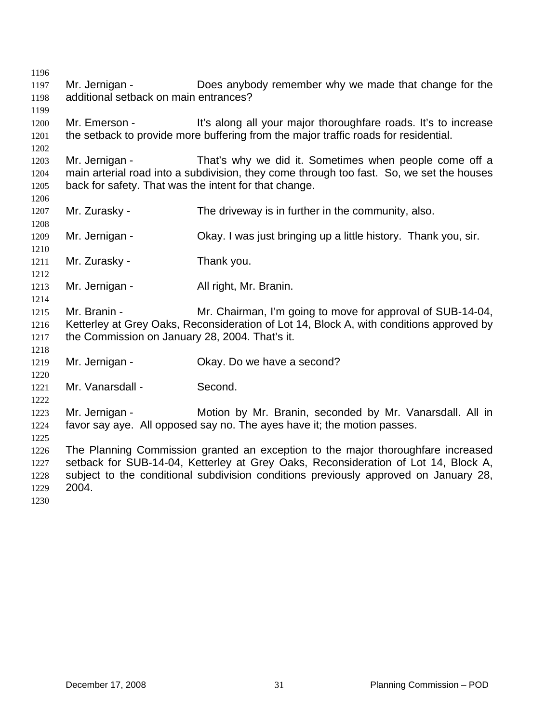Mr. Jernigan - Does anybody remember why we made that change for the additional setback on main entrances? Mr. Emerson - It's along all your major thoroughfare roads. It's to increase the setback to provide more buffering from the major traffic roads for residential. Mr. Jernigan - That's why we did it. Sometimes when people come off a main arterial road into a subdivision, they come through too fast. So, we set the houses back for safety. That was the intent for that change. Mr. Zurasky - The driveway is in further in the community, also. Mr. Jernigan - Ckay. I was just bringing up a little history. Thank you, sir. Mr. Zurasky - Thank you. Mr. Jernigan - All right, Mr. Branin. Mr. Branin - Mr. Chairman, I'm going to move for approval of SUB-14-04, Ketterley at Grey Oaks, Reconsideration of Lot 14, Block A, with conditions approved by the Commission on January 28, 2004. That's it. Mr. Jernigan - Ckay. Do we have a second? Mr. Vanarsdall - Second. Mr. Jernigan - **Motion by Mr. Branin, seconded by Mr. Vanarsdall. All in** favor say aye. All opposed say no. The ayes have it; the motion passes. The Planning Commission granted an exception to the major thoroughfare increased setback for SUB-14-04, Ketterley at Grey Oaks, Reconsideration of Lot 14, Block A, subject to the conditional subdivision conditions previously approved on January 28, 2004.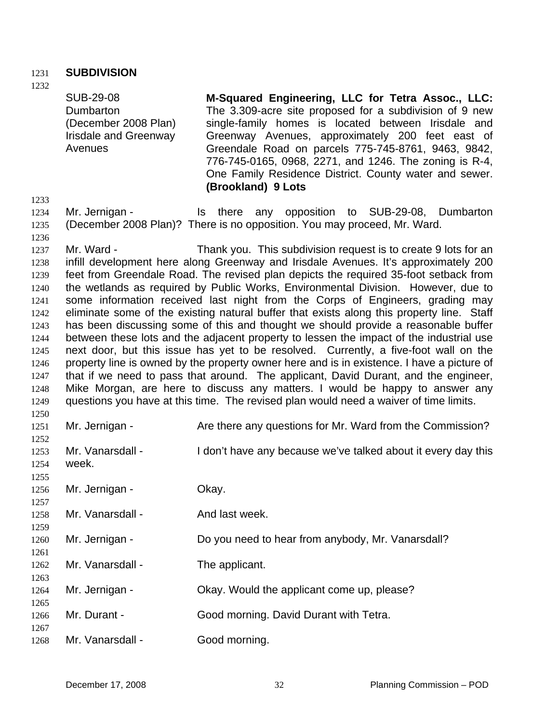## 1231 **SUBDIVISION**

1232

SUB-29-08 Dumbarton (December 2008 Plan) Irisdale and Greenway Avenues

**M-Squared Engineering, LLC for Tetra Assoc., LLC:**  The 3.309-acre site proposed for a subdivision of 9 new single-family homes is located between Irisdale and Greenway Avenues, approximately 200 feet east of Greendale Road on parcels 775-745-8761, 9463, 9842, 776-745-0165, 0968, 2271, and 1246. The zoning is R-4, One Family Residence District. County water and sewer. **(Brookland) 9 Lots** 

1233

1236

1259

1267

1234 1235 Mr. Jernigan - Is there any opposition to SUB-29-08, Dumbarton (December 2008 Plan)? There is no opposition. You may proceed, Mr. Ward.

1237 1238 1239 1240 1241 1242 1243 1244 1245 1246 1247 1248 1249 1250 Mr. Ward - Thank you. This subdivision request is to create 9 lots for an infill development here along Greenway and Irisdale Avenues. It's approximately 200 feet from Greendale Road. The revised plan depicts the required 35-foot setback from the wetlands as required by Public Works, Environmental Division. However, due to some information received last night from the Corps of Engineers, grading may eliminate some of the existing natural buffer that exists along this property line. Staff has been discussing some of this and thought we should provide a reasonable buffer between these lots and the adjacent property to lessen the impact of the industrial use next door, but this issue has yet to be resolved. Currently, a five-foot wall on the property line is owned by the property owner here and is in existence. I have a picture of that if we need to pass that around. The applicant, David Durant, and the engineer, Mike Morgan, are here to discuss any matters. I would be happy to answer any questions you have at this time. The revised plan would need a waiver of time limits.

| 1251 | Mr. Jernigan -   | Are there any questions for Mr. Ward from the Commission?     |
|------|------------------|---------------------------------------------------------------|
| 1252 |                  |                                                               |
| 1253 | Mr. Vanarsdall - | I don't have any because we've talked about it every day this |
| 1254 | week.            |                                                               |
| 1255 |                  |                                                               |
| 1256 | Mr. Jernigan -   | Okay.                                                         |
| 1257 |                  |                                                               |
| 1258 | Mr. Vanarsdall - | And last week.                                                |

1260 1261 Mr. Jernigan - **Do you need to hear from anybody, Mr. Vanarsdall?** 

1262 1263 Mr. Vanarsdall - The applicant.

1264 1265 Mr. Jernigan - Ckay. Would the applicant come up, please?

1266 Mr. Durant - Good morning. David Durant with Tetra.

1268 Mr. Vanarsdall - Good morning.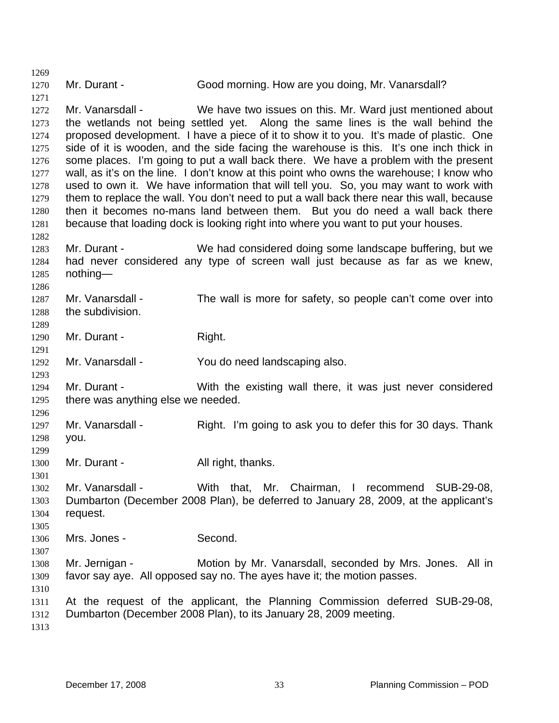1270 Mr. Durant - Good morning. How are you doing, Mr. Vanarsdall?

1272 1273 1274 1275 1276 1277 1278 1279 1280 1281 Mr. Vanarsdall - We have two issues on this. Mr. Ward just mentioned about the wetlands not being settled yet. Along the same lines is the wall behind the proposed development. I have a piece of it to show it to you. It's made of plastic. One side of it is wooden, and the side facing the warehouse is this. It's one inch thick in some places. I'm going to put a wall back there. We have a problem with the present wall, as it's on the line. I don't know at this point who owns the warehouse; I know who used to own it. We have information that will tell you. So, you may want to work with them to replace the wall. You don't need to put a wall back there near this wall, because then it becomes no-mans land between them. But you do need a wall back there because that loading dock is looking right into where you want to put your houses.

1282 1283 1284 1285 Mr. Durant - We had considered doing some landscape buffering, but we had never considered any type of screen wall just because as far as we knew, nothing—

- 1287 1288 Mr. Vanarsdall - The wall is more for safety, so people can't come over into the subdivision.
- 1290 Mr. Durant - Right.
- 1292 Mr. Vanarsdall - You do need landscaping also.
- 1294 1295 Mr. Durant - With the existing wall there, it was just never considered there was anything else we needed.
- 1297 1298 Mr. Vanarsdall - Right. I'm going to ask you to defer this for 30 days. Thank you.
- 1300 Mr. Durant - All right, thanks.
- 1301

1269

1271

1286

1289

1291

1293

1296

1299

- 1302 1303 1304 Mr. Vanarsdall - With that, Mr. Chairman, I recommend SUB-29-08, Dumbarton (December 2008 Plan), be deferred to January 28, 2009, at the applicant's request.
- 1306 Mrs. Jones - Second.
- 1307 1308 1309 Mr. Jernigan - The Motion by Mr. Vanarsdall, seconded by Mrs. Jones. All in favor say aye. All opposed say no. The ayes have it; the motion passes.
- 1310

- 1311 1312 At the request of the applicant, the Planning Commission deferred SUB-29-08, Dumbarton (December 2008 Plan), to its January 28, 2009 meeting.
- 1313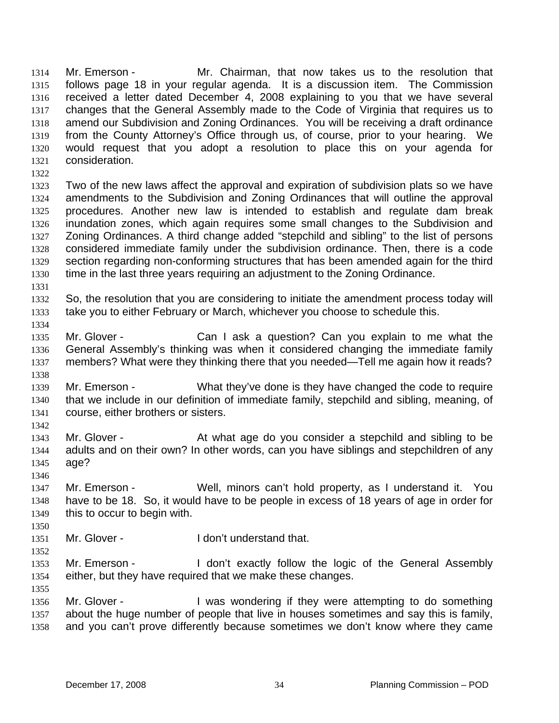Mr. Emerson - The Mr. Chairman, that now takes us to the resolution that follows page 18 in your regular agenda. It is a discussion item. The Commission received a letter dated December 4, 2008 explaining to you that we have several changes that the General Assembly made to the Code of Virginia that requires us to amend our Subdivision and Zoning Ordinances. You will be receiving a draft ordinance from the County Attorney's Office through us, of course, prior to your hearing. We would request that you adopt a resolution to place this on your agenda for consideration. 1314 1315 1316 1317 1318 1319 1320 1321

1322

1323 1324 1325 1326 1327 1328 1329 1330 Two of the new laws affect the approval and expiration of subdivision plats so we have amendments to the Subdivision and Zoning Ordinances that will outline the approval procedures. Another new law is intended to establish and regulate dam break inundation zones, which again requires some small changes to the Subdivision and Zoning Ordinances. A third change added "stepchild and sibling" to the list of persons considered immediate family under the subdivision ordinance. Then, there is a code section regarding non-conforming structures that has been amended again for the third time in the last three years requiring an adjustment to the Zoning Ordinance.

1331

1332 1333 So, the resolution that you are considering to initiate the amendment process today will take you to either February or March, whichever you choose to schedule this.

1334 1335 1336 1337 1338 Mr. Glover - Can I ask a question? Can you explain to me what the General Assembly's thinking was when it considered changing the immediate family members? What were they thinking there that you needed—Tell me again how it reads?

1339 1340 1341 Mr. Emerson - What they've done is they have changed the code to require that we include in our definition of immediate family, stepchild and sibling, meaning, of course, either brothers or sisters.

1342

1346

1343 1344 1345 Mr. Glover - The At what age do you consider a stepchild and sibling to be adults and on their own? In other words, can you have siblings and stepchildren of any age?

- 1347 1348 1349 Mr. Emerson - Well, minors can't hold property, as I understand it. You have to be 18. So, it would have to be people in excess of 18 years of age in order for this to occur to begin with.
- 1351 Mr. Glover - The Unit understand that.
- 1352

1355

1350

1353 1354 Mr. Emerson - The don't exactly follow the logic of the General Assembly either, but they have required that we make these changes.

1356 1357 1358 Mr. Glover - I was wondering if they were attempting to do something about the huge number of people that live in houses sometimes and say this is family, and you can't prove differently because sometimes we don't know where they came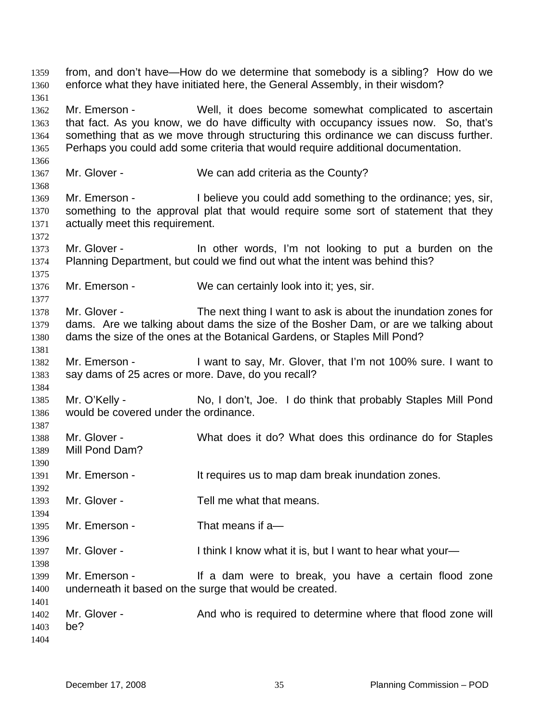from, and don't have—How do we determine that somebody is a sibling? How do we enforce what they have initiated here, the General Assembly, in their wisdom? 1359 1360 1361 1362 1363 1364 1365 1366 1367 1368 1369 1370 1371 1372 1373 1374 1375 1376 1377 1378 1379 1380 1381 1382 1383 1384 1385 1386 1387 1388 1389 1390 1391 1392 1393 1394 1395 1396 1397 1398 1399 1400 1401 1402 1403 1404 Mr. Emerson - Well, it does become somewhat complicated to ascertain that fact. As you know, we do have difficulty with occupancy issues now. So, that's something that as we move through structuring this ordinance we can discuss further. Perhaps you could add some criteria that would require additional documentation. Mr. Glover - We can add criteria as the County? Mr. Emerson - I believe you could add something to the ordinance; yes, sir, something to the approval plat that would require some sort of statement that they actually meet this requirement. Mr. Glover - The other words, I'm not looking to put a burden on the Planning Department, but could we find out what the intent was behind this? Mr. Emerson - We can certainly look into it; yes, sir. Mr. Glover - The next thing I want to ask is about the inundation zones for dams. Are we talking about dams the size of the Bosher Dam, or are we talking about dams the size of the ones at the Botanical Gardens, or Staples Mill Pond? Mr. Emerson - I want to say, Mr. Glover, that I'm not 100% sure. I want to say dams of 25 acres or more. Dave, do you recall? Mr. O'Kelly - No, I don't, Joe. I do think that probably Staples Mill Pond would be covered under the ordinance. Mr. Glover - What does it do? What does this ordinance do for Staples Mill Pond Dam? Mr. Emerson - It requires us to map dam break inundation zones. Mr. Glover - Tell me what that means. Mr. Emerson - That means if a-Mr. Glover - I think I know what it is, but I want to hear what your— Mr. Emerson - If a dam were to break, you have a certain flood zone underneath it based on the surge that would be created. Mr. Glover - And who is required to determine where that flood zone will be?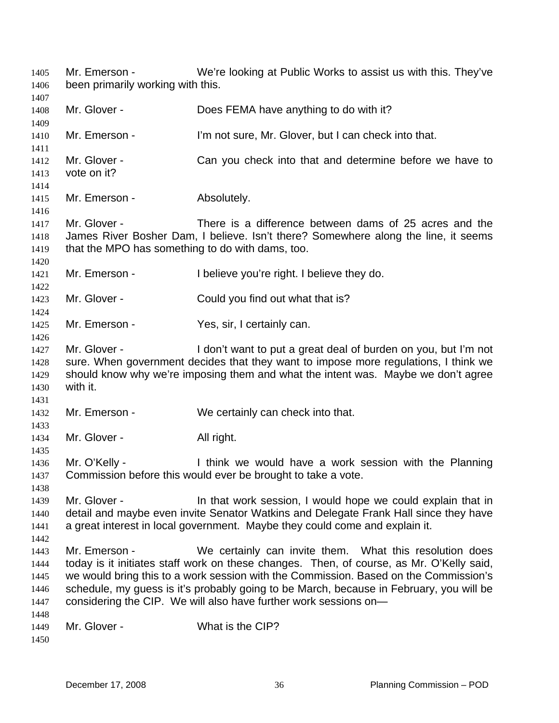Mr. Emerson - We're looking at Public Works to assist us with this. They've been primarily working with this. 1405 1406 1407 1408 1409 1410 1411 1412 1413 1414 1415 1416 1417 1418 1419 1420 1421 1422 1423 1424 1425 1426 1427 1428 1429 1430 1431 1432 1433 1434 1435 1436 1437 1438 1439 1440 1441 1442 1443 1444 1445 1446 1447 1448 1449 1450 Mr. Glover - Does FEMA have anything to do with it? Mr. Emerson - I'm not sure, Mr. Glover, but I can check into that. Mr. Glover - Can you check into that and determine before we have to vote on it? Mr. Emerson - Absolutely. Mr. Glover - There is a difference between dams of 25 acres and the James River Bosher Dam, I believe. Isn't there? Somewhere along the line, it seems that the MPO has something to do with dams, too. Mr. Emerson - I believe you're right. I believe they do. Mr. Glover - Could you find out what that is? Mr. Emerson - Yes, sir, I certainly can. Mr. Glover - I don't want to put a great deal of burden on you, but I'm not sure. When government decides that they want to impose more regulations, I think we should know why we're imposing them and what the intent was. Maybe we don't agree with it. Mr. Emerson - We certainly can check into that. Mr. Glover - All right. Mr. O'Kelly - Think we would have a work session with the Planning Commission before this would ever be brought to take a vote. Mr. Glover - The that work session, I would hope we could explain that in detail and maybe even invite Senator Watkins and Delegate Frank Hall since they have a great interest in local government. Maybe they could come and explain it. Mr. Emerson - We certainly can invite them. What this resolution does today is it initiates staff work on these changes. Then, of course, as Mr. O'Kelly said, we would bring this to a work session with the Commission. Based on the Commission's schedule, my guess is it's probably going to be March, because in February, you will be considering the CIP. We will also have further work sessions on— Mr. Glover - What is the CIP?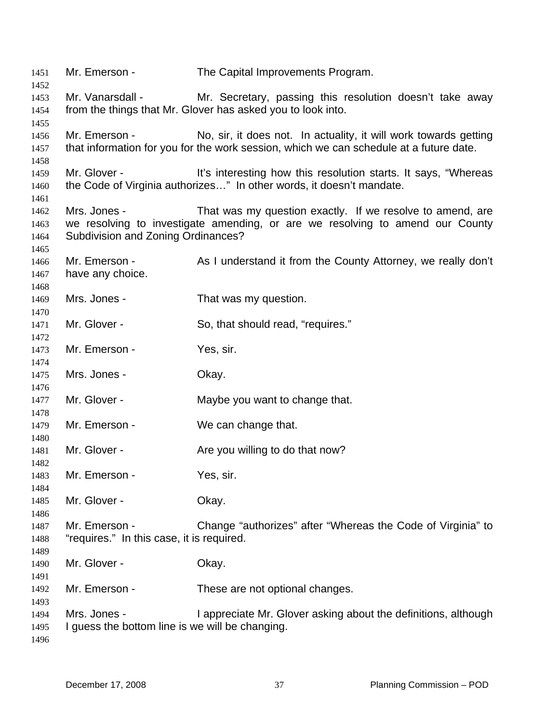Mr. Emerson - The Capital Improvements Program. Mr. Vanarsdall - Mr. Secretary, passing this resolution doesn't take away from the things that Mr. Glover has asked you to look into. Mr. Emerson - No, sir, it does not. In actuality, it will work towards getting that information for you for the work session, which we can schedule at a future date. Mr. Glover - This interesting how this resolution starts. It says, "Whereas the Code of Virginia authorizes…" In other words, it doesn't mandate. Mrs. Jones - That was my question exactly. If we resolve to amend, are we resolving to investigate amending, or are we resolving to amend our County Subdivision and Zoning Ordinances? Mr. Emerson - As I understand it from the County Attorney, we really don't have any choice. Mrs. Jones - That was my question. Mr. Glover - So, that should read, "requires." Mr. Emerson - Yes, sir. Mrs. Jones - Ckay. Mr. Glover - The Maybe you want to change that. Mr. Emerson - We can change that. Mr. Glover - Are you willing to do that now? Mr. Emerson - Yes, sir. Mr. Glover - Chay. Mr. Emerson - Change "authorizes" after "Whereas the Code of Virginia" to "requires." In this case, it is required. Mr. Glover - Ckay. Mr. Emerson - These are not optional changes. Mrs. Jones - I appreciate Mr. Glover asking about the definitions, although I guess the bottom line is we will be changing.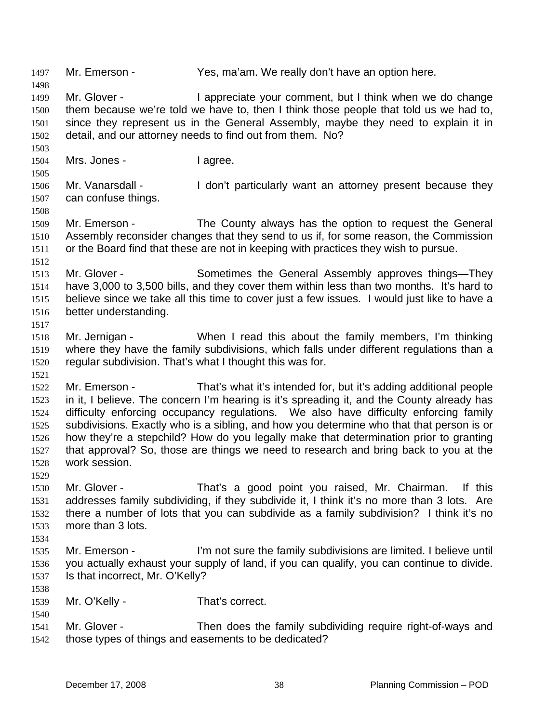1497 Mr. Emerson - Yes, ma'am. We really don't have an option here. 1498 1499 1500 1501 1502 1503 1504 1505 1506 1507 1508 1509 1510 1511 1512 1513 1514 1515 1516 1517 1518 1519 1520 1521 1522 1523 1524 1525 1526 1527 1528 1529 1530 1531 1532 1533 1534 1535 1536 1537 1538 1539 1540 1541 1542 Mr. Glover - I appreciate your comment, but I think when we do change them because we're told we have to, then I think those people that told us we had to, since they represent us in the General Assembly, maybe they need to explain it in detail, and our attorney needs to find out from them. No? Mrs. Jones - I agree. Mr. Vanarsdall - I don't particularly want an attorney present because they can confuse things. Mr. Emerson - The County always has the option to request the General Assembly reconsider changes that they send to us if, for some reason, the Commission or the Board find that these are not in keeping with practices they wish to pursue. Mr. Glover - Sometimes the General Assembly approves things—They have 3,000 to 3,500 bills, and they cover them within less than two months. It's hard to believe since we take all this time to cover just a few issues. I would just like to have a better understanding. Mr. Jernigan - When I read this about the family members, I'm thinking where they have the family subdivisions, which falls under different regulations than a regular subdivision. That's what I thought this was for. Mr. Emerson - That's what it's intended for, but it's adding additional people in it, I believe. The concern I'm hearing is it's spreading it, and the County already has difficulty enforcing occupancy regulations. We also have difficulty enforcing family subdivisions. Exactly who is a sibling, and how you determine who that that person is or how they're a stepchild? How do you legally make that determination prior to granting that approval? So, those are things we need to research and bring back to you at the work session. Mr. Glover - That's a good point you raised, Mr. Chairman. If this addresses family subdividing, if they subdivide it, I think it's no more than 3 lots. Are there a number of lots that you can subdivide as a family subdivision? I think it's no more than 3 lots. Mr. Emerson - I'm not sure the family subdivisions are limited. I believe until you actually exhaust your supply of land, if you can qualify, you can continue to divide. Is that incorrect, Mr. O'Kelly? Mr. O'Kelly - That's correct. Mr. Glover - Then does the family subdividing require right-of-ways and those types of things and easements to be dedicated?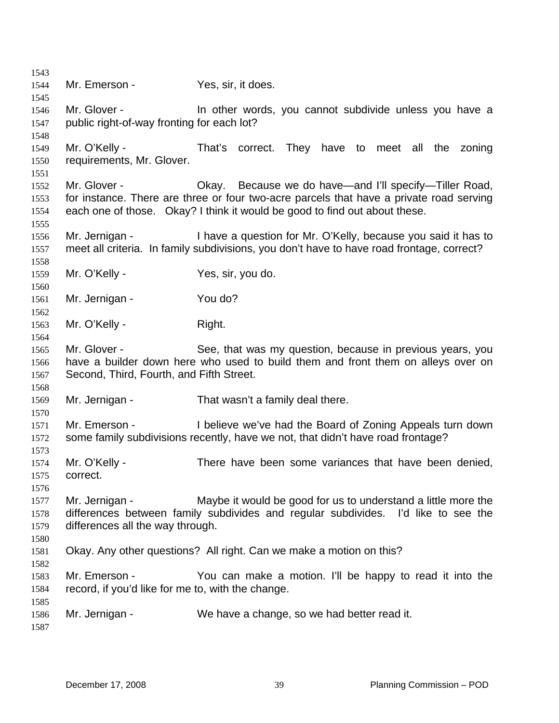Mr. Emerson - Yes, sir, it does. Mr. Glover - The other words, you cannot subdivide unless you have a public right-of-way fronting for each lot? Mr. O'Kelly - That's correct. They have to meet all the zoning requirements, Mr. Glover. Mr. Glover - Chay. Because we do have—and I'll specify—Tiller Road, for instance. There are three or four two-acre parcels that have a private road serving each one of those. Okay? I think it would be good to find out about these. Mr. Jernigan - I have a question for Mr. O'Kelly, because you said it has to meet all criteria. In family subdivisions, you don't have to have road frontage, correct? Mr. O'Kelly - Yes, sir, you do. Mr. Jernigan - You do? Mr. O'Kelly - Right. Mr. Glover - See, that was my question, because in previous years, you have a builder down here who used to build them and front them on alleys over on Second, Third, Fourth, and Fifth Street. Mr. Jernigan - That wasn't a family deal there. Mr. Emerson - I believe we've had the Board of Zoning Appeals turn down some family subdivisions recently, have we not, that didn't have road frontage? Mr. O'Kelly - There have been some variances that have been denied, correct. Mr. Jernigan - Maybe it would be good for us to understand a little more the differences between family subdivides and regular subdivides. I'd like to see the differences all the way through. Okay. Any other questions? All right. Can we make a motion on this? Mr. Emerson - The You can make a motion. I'll be happy to read it into the record, if you'd like for me to, with the change. Mr. Jernigan - We have a change, so we had better read it.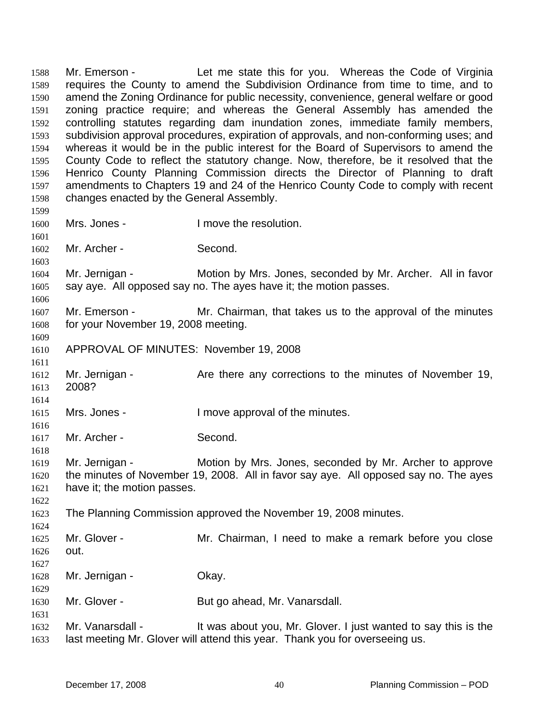Mr. Emerson - Let me state this for you. Whereas the Code of Virginia requires the County to amend the Subdivision Ordinance from time to time, and to amend the Zoning Ordinance for public necessity, convenience, general welfare or good zoning practice require; and whereas the General Assembly has amended the controlling statutes regarding dam inundation zones, immediate family members, subdivision approval procedures, expiration of approvals, and non-conforming uses; and whereas it would be in the public interest for the Board of Supervisors to amend the County Code to reflect the statutory change. Now, therefore, be it resolved that the Henrico County Planning Commission directs the Director of Planning to draft amendments to Chapters 19 and 24 of the Henrico County Code to comply with recent changes enacted by the General Assembly. 1588 1589 1590 1591 1592 1593 1594 1595 1596 1597 1598 1599 1600 1601 1602 1603 1604 1605 1606 1607 Mrs. Jones - The Mrs. Jones - I move the resolution. Mr. Archer - Second. Mr. Jernigan - Motion by Mrs. Jones, seconded by Mr. Archer. All in favor say aye. All opposed say no. The ayes have it; the motion passes. Mr. Emerson - Mr. Chairman, that takes us to the approval of the minutes

1608 1609 for your November 19, 2008 meeting.

1611

1614

1616

1618

1622

1624

- 1610 APPROVAL OF MINUTES: November 19, 2008
- 1612 1613 Mr. Jernigan - The Are there any corrections to the minutes of November 19, 2008?
- 1615 Mrs. Jones - I move approval of the minutes.
- 1617 Mr. Archer - Second.
- 1619 1620 1621 Mr. Jernigan - Motion by Mrs. Jones, seconded by Mr. Archer to approve the minutes of November 19, 2008. All in favor say aye. All opposed say no. The ayes have it; the motion passes.
- 1623 The Planning Commission approved the November 19, 2008 minutes.
- 1625 1626 1627 Mr. Glover - **Mr.** Chairman, I need to make a remark before you close out.
- 1628 1629 Mr. Jernigan - **Okay.**
- 1630 Mr. Glover - But go ahead, Mr. Vanarsdall.
- 1632 1633 Mr. Vanarsdall - It was about you, Mr. Glover. I just wanted to say this is the last meeting Mr. Glover will attend this year. Thank you for overseeing us.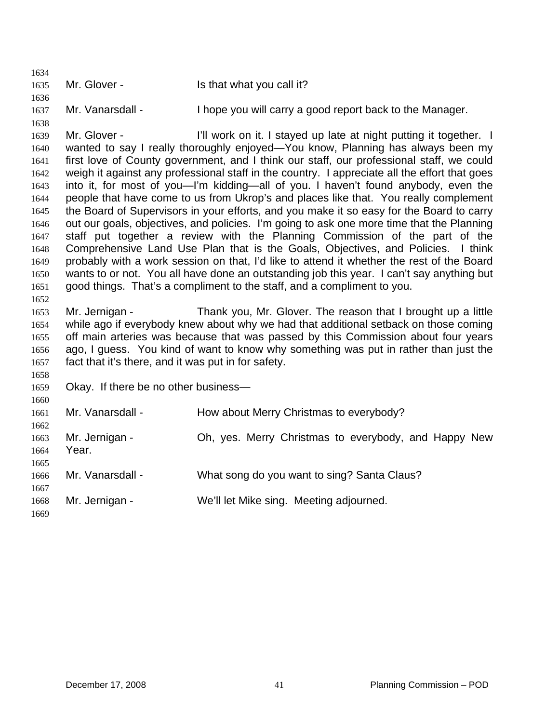1634 1635 1636 1637 1638 1639 1640 1641 1642 1643 1644 1645 1646 1647 1648 1649 1650 1651 1652 1653 1654 1655 1656 1657 1658 1659 1660 1661 1662 1663 1664 1665 1666 1667 1668 1669 Mr. Glover - The Is that what you call it? Mr. Vanarsdall - I hope you will carry a good report back to the Manager. Mr. Glover - I'll work on it. I stayed up late at night putting it together. I wanted to say I really thoroughly enjoyed—You know, Planning has always been my first love of County government, and I think our staff, our professional staff, we could weigh it against any professional staff in the country. I appreciate all the effort that goes into it, for most of you—I'm kidding—all of you. I haven't found anybody, even the people that have come to us from Ukrop's and places like that. You really complement the Board of Supervisors in your efforts, and you make it so easy for the Board to carry out our goals, objectives, and policies. I'm going to ask one more time that the Planning staff put together a review with the Planning Commission of the part of the Comprehensive Land Use Plan that is the Goals, Objectives, and Policies. I think probably with a work session on that, I'd like to attend it whether the rest of the Board wants to or not. You all have done an outstanding job this year. I can't say anything but good things. That's a compliment to the staff, and a compliment to you. Mr. Jernigan - Thank you, Mr. Glover. The reason that I brought up a little while ago if everybody knew about why we had that additional setback on those coming off main arteries was because that was passed by this Commission about four years ago, I guess. You kind of want to know why something was put in rather than just the fact that it's there, and it was put in for safety. Okay. If there be no other business— Mr. Vanarsdall - How about Merry Christmas to everybody? Mr. Jernigan - **Oh, yes. Merry Christmas to everybody**, and Happy New Year. Mr. Vanarsdall - What song do you want to sing? Santa Claus? Mr. Jernigan - We'll let Mike sing. Meeting adjourned.